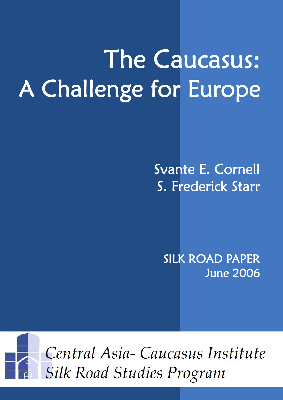# The Caucasus: A Challenge for Europe

# Svante E. Cornell S. Frederick Starr

SILK ROAD PAPER June 2006

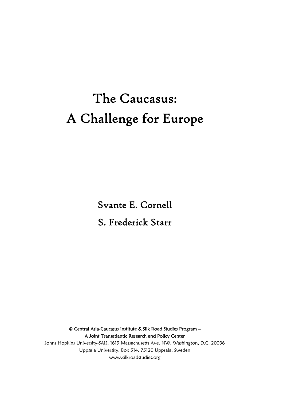# The Caucasus: A Challenge for Europe

Svante E. Cornell S. Frederick Starr

© Central Asia-Caucasus Institute & Silk Road Studies Program – A Joint Transatlantic Research and Policy Center Johns Hopkins University-SAIS, 1619 Massachusetts Ave. NW, Washington, D.C. 20036 Uppsala University, Box 514, 75120 Uppsala, Sweden www.silkroadstudies.org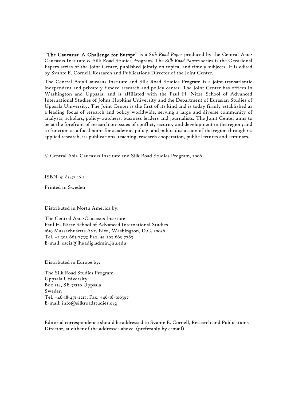"The Caucasus: A Challenge for Europe" is a *Silk Road Paper* produced by the Central Asia-Caucasus Institute & Silk Road Studies Program. The *Silk Road Papers* series is the Occasional Papers series of the Joint Center, published jointly on topical and timely subjects. It is edited by Svante E. Cornell, Research and Publications Director of the Joint Center.

The Central Asia-Caucasus Institute and Silk Road Studies Program is a joint transatlantic independent and privately funded research and policy center. The Joint Center has offices in Washington and Uppsala, and is affiliated with the Paul H. Nitze School of Advanced International Studies of Johns Hopkins University and the Department of Eurasian Studies of Uppsala University. The Joint Center is the first of its kind and is today firmly established as a leading focus of research and policy worldwide, serving a large and diverse community of analysts, scholars, policy-watchers, business leaders and journalists. The Joint Center aims to be at the forefront of research on issues of conflict, security and development in the region; and to function as a focal point for academic, policy, and public discussion of the region through its applied research, its publications, teaching, research cooperation, public lectures and seminars.

© Central Asia-Caucasus Institute and Silk Road Studies Program, 2006

ISBN: 91-85473-16-2

Printed in Sweden

Distributed in North America by:

The Central Asia-Caucasus Institute Paul H. Nitze School of Advanced International Studies 1619 Massachusetts Ave. NW, Washington, D.C. 20036 Tel. +1-202-663-7723; Fax. +1-202-663-7785 E-mail: caci2@jhuadig.admin.jhu.edu

Distributed in Europe by:

The Silk Road Studies Program Uppsala University Box 514, SE-75120 Uppsala Sweden Tel. +46-18-471-2217; Fax. +46-18-106397 E-mail: info@silkroadstudies.org

Editorial correspondence should be addressed to Svante E. Cornell, Research and Publications Director, at either of the addresses above. (preferably by e-mail)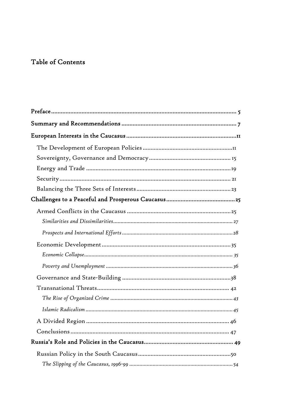# Table of Contents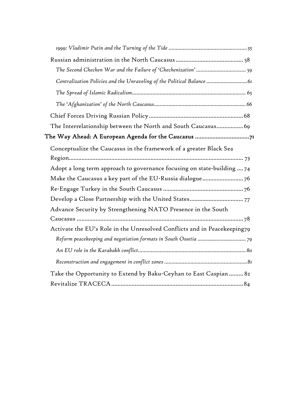| Centralization Policies and the Unraveling of the Political Balance      |
|--------------------------------------------------------------------------|
|                                                                          |
|                                                                          |
|                                                                          |
| The Interrelationship between the North and South Caucasus69             |
| The Way Ahead: A European Agenda for the Caucasus 71                     |
| Conceptualize the Caucasus in the framework of a greater Black Sea       |
|                                                                          |
| Adopt a long term approach to governance focusing on state-building  74  |
| Make the Caucasus a key part of the EU-Russia dialogue 76                |
|                                                                          |
|                                                                          |
| Advance Security by Strengthening NATO Presence in the South             |
|                                                                          |
| Activate the EU's Role in the Unresolved Conflicts and in Peacekeeping79 |
|                                                                          |
|                                                                          |
|                                                                          |
| Take the Opportunity to Extend by Baku-Ceyhan to East Caspian  82        |
|                                                                          |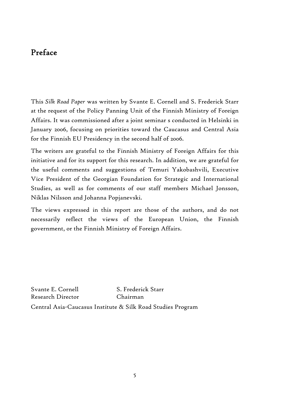# Preface

This *Silk Road Paper* was written by Svante E. Cornell and S. Frederick Starr at the request of the Policy Panning Unit of the Finnish Ministry of Foreign Affairs. It was commissioned after a joint seminar s conducted in Helsinki in January 2006, focusing on priorities toward the Caucasus and Central Asia for the Finnish EU Presidency in the second half of 2006.

The writers are grateful to the Finnish Ministry of Foreign Affairs for this initiative and for its support for this research. In addition, we are grateful for the useful comments and suggestions of Temuri Yakobashvili, Executive Vice President of the Georgian Foundation for Strategic and International Studies, as well as for comments of our staff members Michael Jonsson, Niklas Nilsson and Johanna Popjanevski.

The views expressed in this report are those of the authors, and do not necessarily reflect the views of the European Union, the Finnish government, or the Finnish Ministry of Foreign Affairs.

Svante E. Cornell S. Frederick Starr Research Director Chairman

Central Asia-Caucasus Institute & Silk Road Studies Program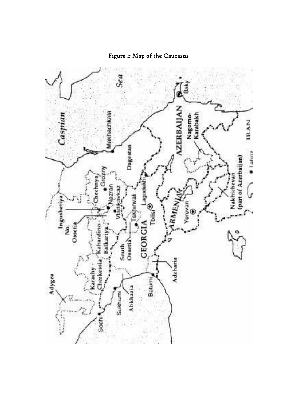

# Figure 1: Map of the Caucasus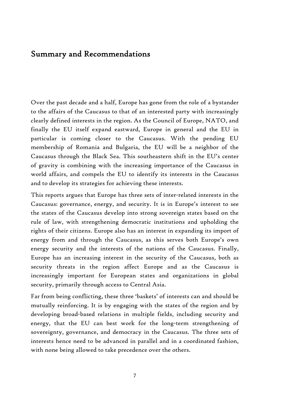### Summary and Recommendations

Over the past decade and a half, Europe has gone from the role of a bystander to the affairs of the Caucasus to that of an interested party with increasingly clearly defined interests in the region. As the Council of Europe, NATO, and finally the EU itself expand eastward, Europe in general and the EU in particular is coming closer to the Caucasus. With the pending EU membership of Romania and Bulgaria, the EU will be a neighbor of the Caucasus through the Black Sea. This southeastern shift in the EU's center of gravity is combining with the increasing importance of the Caucasus in world affairs, and compels the EU to identify its interests in the Caucasus and to develop its strategies for achieving these interests.

This reports argues that Europe has three sets of inter-related interests in the Caucasus: governance, energy, and security. It is in Europe's interest to see the states of the Caucasus develop into strong sovereign states based on the rule of law, with strengthening democratic institutions and upholding the rights of their citizens. Europe also has an interest in expanding its import of energy from and through the Caucasus, as this serves both Europe's own energy security and the interests of the nations of the Caucasus. Finally, Europe has an increasing interest in the security of the Caucasus, both as security threats in the region affect Europe and as the Caucasus is increasingly important for European states and organizations in global security, primarily through access to Central Asia.

Far from being conflicting, these three 'baskets' of interests can and should be mutually reinforcing. It is by engaging with the states of the region and by developing broad-based relations in multiple fields, including security and energy, that the EU can best work for the long-term strengthening of sovereignty, governance, and democracy in the Caucasus. The three sets of interests hence need to be advanced in parallel and in a coordinated fashion, with none being allowed to take precedence over the others.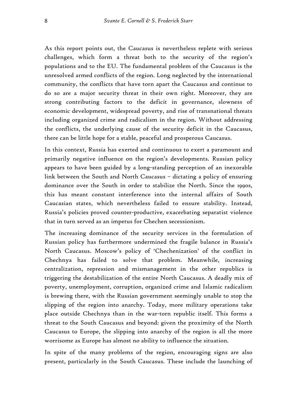As this report points out, the Caucasus is nevertheless replete with serious challenges, which form a threat both to the security of the region's populations and to the EU. The fundamental problem of the Caucasus is the unresolved armed conflicts of the region. Long neglected by the international community, the conflicts that have torn apart the Caucasus and continue to do so are a major security threat in their own right. Moreover, they are strong contributing factors to the deficit in governance, slowness of economic development, widespread poverty, and rise of transnational threats including organized crime and radicalism in the region. Without addressing the conflicts, the underlying cause of the security deficit in the Caucasus, there can be little hope for a stable, peaceful and prosperous Caucasus.

In this context, Russia has exerted and continuous to exert a paramount and primarily negative influence on the region's developments. Russian policy appears to have been guided by a long-standing perception of an inexorable link between the South and North Caucasus – dictating a policy of ensuring dominance over the South in order to stabilize the North. Since the 1990s, this has meant constant interference into the internal affairs of South Caucasian states, which nevertheless failed to ensure stability. Instead, Russia's policies proved counter-productive, exacerbating separatist violence that in turn served as an impetus for Chechen secessionism.

The increasing dominance of the security services in the formulation of Russian policy has furthermore undermined the fragile balance in Russia's North Caucasus. Moscow's policy of 'Chechenization' of the conflict in Chechnya has failed to solve that problem. Meanwhile, increasing centralization, repression and mismanagement in the other republics is triggering the destabilization of the entire North Caucasus. A deadly mix of poverty, unemployment, corruption, organized crime and Islamic radicalism is brewing there, with the Russian government seemingly unable to stop the slipping of the region into anarchy. Today, more military operations take place outside Chechnya than in the war-torn republic itself. This forms a threat to the South Caucasus and beyond: given the proximity of the North Caucasus to Europe, the slipping into anarchy of the region is all the more worrisome as Europe has almost no ability to influence the situation.

In spite of the many problems of the region, encouraging signs are also present, particularly in the South Caucasus. These include the launching of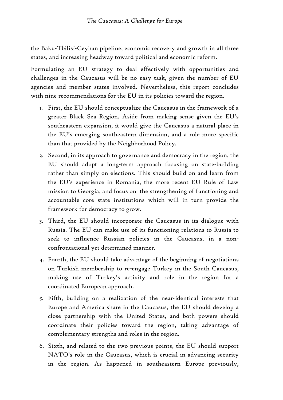the Baku-Tbilisi-Ceyhan pipeline, economic recovery and growth in all three states, and increasing headway toward political and economic reform.

Formulating an EU strategy to deal effectively with opportunities and challenges in the Caucasus will be no easy task, given the number of EU agencies and member states involved. Nevertheless, this report concludes with nine recommendations for the EU in its policies toward the region.

- 1. First, the EU should conceptualize the Caucasus in the framework of a greater Black Sea Region. Aside from making sense given the EU's southeastern expansion, it would give the Caucasus a natural place in the EU's emerging southeastern dimension, and a role more specific than that provided by the Neighborhood Policy.
- 2. Second, in its approach to governance and democracy in the region, the EU should adopt a long-term approach focusing on state-building rather than simply on elections. This should build on and learn from the EU's experience in Romania, the more recent EU Rule of Law mission to Georgia, and focus on the strengthening of functioning and accountable core state institutions which will in turn provide the framework for democracy to grow.
- 3. Third, the EU should incorporate the Caucasus in its dialogue with Russia. The EU can make use of its functioning relations to Russia to seek to influence Russian policies in the Caucasus, in a nonconfrontational yet determined manner.
- 4. Fourth, the EU should take advantage of the beginning of negotiations on Turkish membership to re-engage Turkey in the South Caucasus, making use of Turkey's activity and role in the region for a coordinated European approach.
- 5. Fifth, building on a realization of the near-identical interests that Europe and America share in the Caucasus, the EU should develop a close partnership with the United States, and both powers should coordinate their policies toward the region, taking advantage of complementary strengths and roles in the region.
- 6. Sixth, and related to the two previous points, the EU should support NATO's role in the Caucasus, which is crucial in advancing security in the region. As happened in southeastern Europe previously,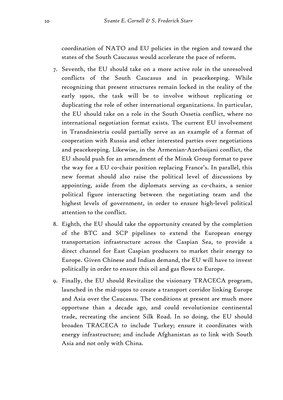coordination of NATO and EU policies in the region and toward the states of the South Caucasus would accelerate the pace of reform.

- 7. Seventh, the EU should take on a more active role in the unresolved conflicts of the South Caucasus and in peacekeeping. While recognizing that present structures remain locked in the reality of the early 1990s, the task will be to involve without replicating or duplicating the role of other international organizations. In particular, the EU should take on a role in the South Ossetia conflict, where no international negotiation format exists. The current EU involvement in Transdniestria could partially serve as an example of a format of cooperation with Russia and other interested parties over negotiations and peacekeeping. Likewise, in the Armenian-Azerbaijani conflict, the EU should push for an amendment of the Minsk Group format to pave the way for a EU co-chair position replacing France's. In parallel, this new format should also raise the political level of discussions by appointing, aside from the diplomats serving as co-chairs, a senior political figure interacting between the negotiating team and the highest levels of government, in order to ensure high-level political attention to the conflict.
- 8. Eighth, the EU should take the opportunity created by the completion of the BTC and SCP pipelines to extend the European energy transportation infrastructure across the Caspian Sea, to provide a direct channel for East Caspian producers to market their energy to Europe. Given Chinese and Indian demand, the EU will have to invest politically in order to ensure this oil and gas flows to Europe.
- 9. Finally, the EU should Revitalize the visionary TRACECA program, launched in the mid-1990s to create a transport corridor linking Europe and Asia over the Caucasus. The conditions at present are much more opportune than a decade ago, and could revolutionize continental trade, recreating the ancient Silk Road. In so doing, the EU should broaden TRACECA to include Turkey; ensure it coordinates with energy infrastructure; and include Afghanistan as to link with South Asia and not only with China.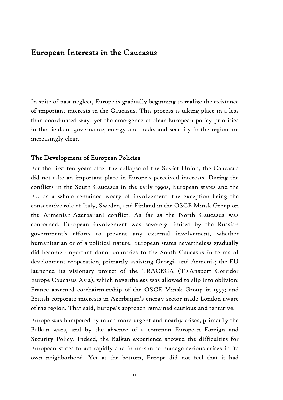### European Interests in the Caucasus

In spite of past neglect, Europe is gradually beginning to realize the existence of important interests in the Caucasus. This process is taking place in a less than coordinated way, yet the emergence of clear European policy priorities in the fields of governance, energy and trade, and security in the region are increasingly clear.

#### The Development of European Policies

For the first ten years after the collapse of the Soviet Union, the Caucasus did not take an important place in Europe's perceived interests. During the conflicts in the South Caucasus in the early 1990s, European states and the EU as a whole remained weary of involvement, the exception being the consecutive role of Italy, Sweden, and Finland in the OSCE Minsk Group on the Armenian-Azerbaijani conflict. As far as the North Caucasus was concerned, European involvement was severely limited by the Russian government's efforts to prevent any external involvement, whether humanitarian or of a political nature. European states nevertheless gradually did become important donor countries to the South Caucasus in terms of development cooperation, primarily assisting Georgia and Armenia; the EU launched its visionary project of the TRACECA (TRAnsport Corridor Europe Caucasus Asia), which nevertheless was allowed to slip into oblivion; France assumed co-chairmanship of the OSCE Minsk Group in 1997; and British corporate interests in Azerbaijan's energy sector made London aware of the region. That said, Europe's approach remained cautious and tentative.

Europe was hampered by much more urgent and nearby crises, primarily the Balkan wars, and by the absence of a common European Foreign and Security Policy. Indeed, the Balkan experience showed the difficulties for European states to act rapidly and in unison to manage serious crises in its own neighborhood. Yet at the bottom, Europe did not feel that it had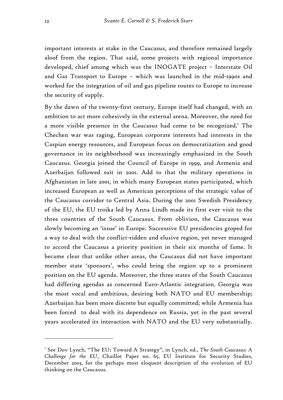important interests at stake in the Caucasus, and therefore remained largely aloof from the region. That said, some projects with regional importance developed, chief among which was the INOGATE project – Interstate Oil and Gas Transport to Europe – which was launched in the mid-1990s and worked for the integration of oil and gas pipeline routes to Europe to increase the security of supply.

By the dawn of the twenty-first century, Europe itself had changed, with an ambition to act more cohesively in the external arena. Moreover, the need for a more visible presence in the Caucasus had come to be recognized.<sup>1</sup> The Chechen war was raging, European corporate interests had interests in the Caspian energy resources, and European focus on democratization and good governance in its neighborhood was increasingly emphasized in the South Caucasus. Georgia joined the Council of Europe in 1999, and Armenia and Azerbaijan followed suit in 2001. Add to that the military operations in Afghanistan in late 2001, in which many European states participated, which increased European as well as American perceptions of the strategic value of the Caucasus corridor to Central Asia. During the 2001 Swedish Presidency of the EU, the EU troika led by Anna Lindh made its first ever visit to the three countries of the South Caucasus. From oblivion, the Caucasus was slowly becoming an 'issue' in Europe. Successive EU presidencies groped for a way to deal with the conflict-ridden and elusive region, yet never managed to accord the Caucasus a priority position in their six months of fame. It became clear that unlike other areas, the Caucasus did not have important member state 'sponsors', who could bring the region up to a prominent position on the EU agenda. Moreover, the three states of the South Caucasus had differing agendas as concerned Euro-Atlantic integration. Georgia was the most vocal and ambitious, desiring both NATO and EU membership; Azerbaijan has been more discrete but equally committed; while Armenia has been forced to deal with its dependence on Russia, yet in the past several years accelerated its interaction with NATO and the EU very substantially.

<sup>&</sup>lt;sup>1</sup> See Dov Lynch, "The EU: Toward A Strategy", in Lynch, ed., *The South Caucasus: A Challenge for the EU*, Chaillot Paper no. 65, EU Institute for Security Studies, December 2003, for the perhaps most eloquent description of the evolution of EU thinking on the Caucasus.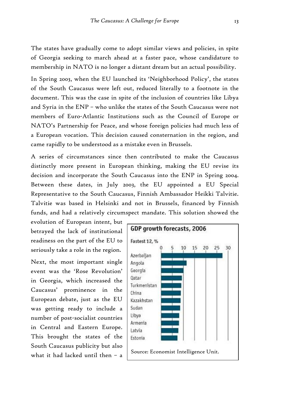The states have gradually come to adopt similar views and policies, in spite of Georgia seeking to march ahead at a faster pace, whose candidature to membership in NATO is no longer a distant dream but an actual possibility.

In Spring 2003, when the EU launched its 'Neighborhood Policy', the states of the South Caucasus were left out, reduced literally to a footnote in the document. This was the case in spite of the inclusion of countries like Libya and Syria in the ENP – who unlike the states of the South Caucasus were not members of Euro-Atlantic Institutions such as the Council of Europe or NATO's Partnership for Peace, and whose foreign policies had much less of a European vocation. This decision caused consternation in the region, and came rapidly to be understood as a mistake even in Brussels.

A series of circumstances since then contributed to make the Caucasus distinctly more present in European thinking, making the EU revise its decision and incorporate the South Caucasus into the ENP in Spring 2004. Between these dates, in July 2003, the EU appointed a EU Special Representative to the South Caucasus, Finnish Ambassador Heikki Talvitie. Talvitie was based in Helsinki and not in Brussels, financed by Finnish funds, and had a relatively circumspect mandate. This solution showed the

evolution of European intent, but betrayed the lack of institutional readiness on the part of the EU to seriously take a role in the region.

Next, the most important single event was the 'Rose Revolution' in Georgia, which increased the Caucasus' prominence in the European debate, just as the EU was getting ready to include a number of post-socialist countries in Central and Eastern Europe. This brought the states of the South Caucasus publicity but also

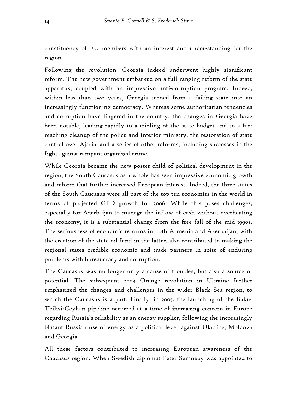constituency of EU members with an interest and under-standing for the region.

Following the revolution, Georgia indeed underwent highly significant reform. The new government embarked on a full-ranging reform of the state apparatus, coupled with an impressive anti-corruption program. Indeed, within less than two years, Georgia turned from a failing state into an increasingly functioning democracy. Whereas some authoritarian tendencies and corruption have lingered in the country, the changes in Georgia have been notable, leading rapidly to a tripling of the state budget and to a farreaching cleanup of the police and interior ministry, the restoration of state control over Ajaria, and a series of other reforms, including successes in the fight against rampant organized crime.

While Georgia became the new poster-child of political development in the region, the South Caucasus as a whole has seen impressive economic growth and reform that further increased European interest. Indeed, the three states of the South Caucasus were all part of the top ten economies in the world in terms of projected GPD growth for 2006. While this poses challenges, especially for Azerbaijan to manage the inflow of cash without overheating the economy, it is a substantial change from the free fall of the mid-1990s. The seriousness of economic reforms in both Armenia and Azerbaijan, with the creation of the state oil fund in the latter, also contributed to making the regional states credible economic and trade partners in spite of enduring problems with bureaucracy and corruption.

The Caucasus was no longer only a cause of troubles, but also a source of potential. The subsequent 2004 Orange revolution in Ukraine further emphasized the changes and challenges in the wider Black Sea region, to which the Caucasus is a part. Finally, in 2005, the launching of the Baku-Tbilisi-Ceyhan pipeline occurred at a time of increasing concern in Europe regarding Russia's reliability as an energy supplier, following the increasingly blatant Russian use of energy as a political lever against Ukraine, Moldova and Georgia.

All these factors contributed to increasing European awareness of the Caucasus region. When Swedish diplomat Peter Semneby was appointed to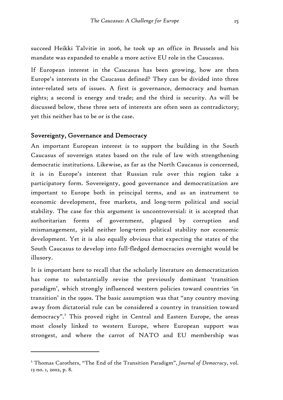succeed Heikki Talvitie in 2006, he took up an office in Brussels and his mandate was expanded to enable a more active EU role in the Caucasus.

If European interest in the Caucasus has been growing, how are then Europe's interests in the Caucasus defined? They can be divided into three inter-related sets of issues. A first is governance, democracy and human rights; a second is energy and trade; and the third is security. As will be discussed below, these three sets of interests are often seen as contradictory; yet this neither has to be or is the case.

#### Sovereignty, Governance and Democracy

 $\overline{a}$ 

An important European interest is to support the building in the South Caucasus of sovereign states based on the rule of law with strengthening democratic institutions. Likewise, as far as the North Caucasus is concerned, it is in Europe's interest that Russian rule over this region take a participatory form. Sovereignty, good governance and democratization are important to Europe both in principal terms, and as an instrument to economic development, free markets, and long-term political and social stability. The case for this argument is uncontroversial: it is accepted that authoritarian forms of government, plagued by corruption and mismanagement, yield neither long-term political stability nor economic development. Yet it is also equally obvious that expecting the states of the South Caucasus to develop into full-fledged democracies overnight would be illusory.

It is important here to recall that the scholarly literature on democratization has come to substantially revise the previously dominant 'transition paradigm', which strongly influenced western policies toward countries 'in transition' in the 1990s. The basic assumption was that "any country moving away from dictatorial rule can be considered a country in transition toward democracy".<sup>2</sup> This proved right in Central and Eastern Europe, the areas most closely linked to western Europe, where European support was strongest, and where the carrot of NATO and EU membership was

<sup>&</sup>lt;sup>2</sup> Thomas Carothers, "The End of the Transition Paradigm", Journal of Democracy, vol. 13 no. 1, 2002, p. 8.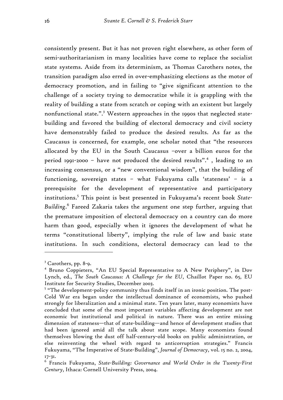consistently present. But it has not proven right elsewhere, as other form of semi-authoritarianism in many localities have come to replace the socialist state systems. Aside from its determinism, as Thomas Carothers notes, the transition paradigm also erred in over-emphasizing elections as the motor of democracy promotion, and in failing to "give significant attention to the challenge of a society trying to democratize while it is grappling with the reality of building a state from scratch or coping with an existent but largely nonfunctional state.".<sup>3</sup> Western approaches in the 1990s that neglected statebuilding and favored the building of electoral democracy and civil society have demonstrably failed to produce the desired results. As far as the Caucasus is concerned, for example, one scholar noted that "the resources allocated by the EU in the South Caucasus –over a billion euros for the period 1991-2000 – have not produced the desired results".<sup>4</sup> , leading to an increasing consensus, or a "new conventional wisdom", that the building of functioning, sovereign states – what Fukuyama calls 'stateness' – is a prerequisite for the development of representative and participatory institutions.5 This point is best presented in Fukuyama's recent book *State-Building*. 6 Fareed Zakaria takes the argument one step further, arguing that the premature imposition of electoral democracy on a country can do more harm than good, especially when it ignores the development of what he terms "constitutional liberty", implying the rule of law and basic state institutions. In such conditions, electoral democracy can lead to the

<sup>&</sup>lt;sup>3</sup> Carothers, pp. 8-9.

<sup>4</sup> Bruno Coppieters, "An EU Special Representative to A New Periphery", in Dov Lynch, ed., *The South Caucasus: A Challenge for the EU*, Chaillot Paper no. 65, EU Institute for Security Studies, December 2003.

 $^{\text{\tiny{5}}}$  "The development-policy community thus finds itself in an ironic position. The post-Cold War era began under the intellectual dominance of economists, who pushed strongly for liberalization and a minimal state. Ten years later, many economists have concluded that some of the most important variables affecting development are not economic but institutional and political in nature. There was an entire missing dimension of stateness—that of state-building—and hence of development studies that had been ignored amid all the talk about state scope. Many economists found themselves blowing the dust off half-century-old books on public administration, or else reinventing the wheel with regard to anticorruption strategies." Francis Fukuyama, "The Imperative of State-Building", *Journal of Democracy*, vol. 15 no. 2, 2004, 17-31.

 $^{\rm 6}$  Francis Fukuyama, State-Building: Governance and World Order in the Twenty-First *Century*, Ithaca: Cornell University Press, 2004.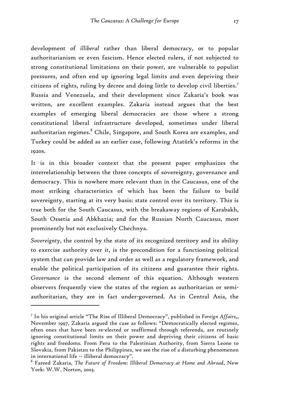development of *illiberal* rather than liberal democracy, or to popular authoritarianism or even fascism. Hence elected rulers, if not subjected to strong constitutional limitations on their power, are vulnerable to populist pressures, and often end up ignoring legal limits and even depriving their citizens of rights, ruling by decree and doing little to develop civil liberties.<sup>7</sup> Russia and Venezuela, and their development since Zakaria's book was written, are excellent examples. Zakaria instead argues that the best examples of emerging liberal democracies are those where a strong constitutional liberal infrastructure developed, sometimes under liberal authoritarian regimes.<sup>8</sup> Chile, Singapore, and South Korea are examples, and Turkey could be added as an earlier case, following Atatürk's reforms in the 1920s.

It is in this broader context that the present paper emphasizes the interrelationship between the three concepts of sovereignty, governance and democracy. This is nowhere more relevant than in the Caucasus, one of the most striking characteristics of which has been the failure to build sovereignty, starting at its very basis: state control over its territory. This is true both for the South Caucasus, with the breakaway regions of Karabakh, South Ossetia and Abkhazia; and for the Russian North Caucasus, most prominently but not exclusively Chechnya.

*Sovereignty*, the control by the state of its recognized territory and its ability to exercise authority over it, is the precondition for a functioning political system that can provide law and order as well as a regulatory framework, and enable the political participation of its citizens and guarantee their rights. *Governance* is the second element of this equation. Although western observers frequently view the states of the region as authoritarian or semiauthoritarian, they are in fact under-governed. As in Central Asia, the

<sup>7</sup> In his original article "The Rise of Illiberal Democracy", published in *Foreign Affairs,*, November 1997, Zakaria argued the case as follows: "Democratically elected regimes, often ones that have been re-elected or reaffirmed through referenda, are routinely ignoring constitutional limits on their power and depriving their citizens of basic rights and freedoms. From Peru to the Palestinian Authority, from Sierra Leone to Slovakia, from Pakistan to the Philippines, we see the rise of a disturbing phenomenon in international life -- illiberal democracy".

<sup>8</sup> Fareed Zakaria, *The Future of Freedom: Illiberal Democracy at Home and Abroad*, New York: W.W. Norton, 2003.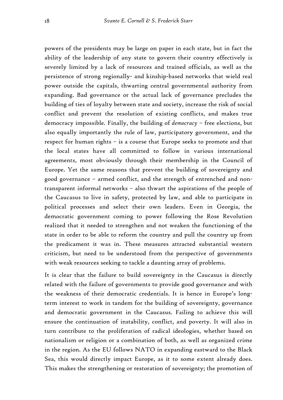powers of the presidents may be large on paper in each state, but in fact the ability of the leadership of any state to govern their country effectively is severely limited by a lack of resources and trained officials, as well as the persistence of strong regionally- and kinship-based networks that wield real power outside the capitals, thwarting central governmental authority from expanding. Bad governance or the actual lack of governance precludes the building of ties of loyalty between state and society, increase the risk of social conflict and prevent the resolution of existing conflicts, and makes true democracy impossible. Finally, the building of *democracy* – free elections, but also equally importantly the rule of law, participatory government, and the respect for human rights – is a course that Europe seeks to promote and that the local states have all committed to follow in various international agreements, most obviously through their membership in the Council of Europe. Yet the same reasons that prevent the building of sovereignty and good governance – armed conflict, and the strength of entrenched and nontransparent informal networks – also thwart the aspirations of the people of the Caucasus to live in safety, protected by law, and able to participate in political processes and select their own leaders. Even in Georgia, the democratic government coming to power following the Rose Revolution realized that it needed to strengthen and not weaken the functioning of the state in order to be able to reform the country and pull the country up from the predicament it was in. These measures attracted substantial western criticism, but need to be understood from the perspective of governments with weak resources seeking to tackle a daunting array of problems.

It is clear that the failure to build sovereignty in the Caucasus is directly related with the failure of governments to provide good governance and with the weakness of their democratic credentials. It is hence in Europe's longterm interest to work in tandem for the building of sovereignty, governance and democratic government in the Caucasus. Failing to achieve this will ensure the continuation of instability, conflict, and poverty. It will also in turn contribute to the proliferation of radical ideologies, whether based on nationalism or religion or a combination of both, as well as organized crime in the region. As the EU follows NATO in expanding eastward to the Black Sea, this would directly impact Europe, as it to some extent already does. This makes the strengthening or restoration of sovereignty; the promotion of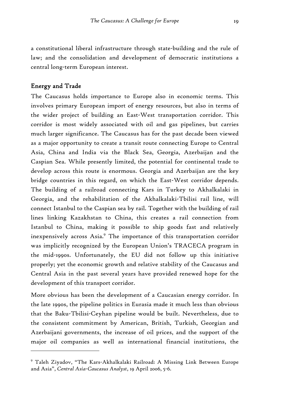a constitutional liberal infrastructure through state-building and the rule of law; and the consolidation and development of democratic institutions a central long-term European interest.

#### Energy and Trade

 $\overline{a}$ 

The Caucasus holds importance to Europe also in economic terms. This involves primary European import of energy resources, but also in terms of the wider project of building an East-West transportation corridor. This corridor is most widely associated with oil and gas pipelines, but carries much larger significance. The Caucasus has for the past decade been viewed as a major opportunity to create a transit route connecting Europe to Central Asia, China and India via the Black Sea, Georgia, Azerbaijan and the Caspian Sea. While presently limited, the potential for continental trade to develop across this route is enormous. Georgia and Azerbaijan are the key bridge countries in this regard, on which the East-West corridor depends. The building of a railroad connecting Kars in Turkey to Akhalkalaki in Georgia, and the rehabilitation of the Akhalkalaki-Tbilisi rail line, will connect Istanbul to the Caspian sea by rail. Together with the building of rail lines linking Kazakhstan to China, this creates a rail connection from Istanbul to China, making it possible to ship goods fast and relatively inexpensively across Asia.<sup>9</sup> The importance of this transportation corridor was implicitly recognized by the European Union's TRACECA program in the mid-1990s. Unfortunately, the EU did not follow up this initiative properly; yet the economic growth and relative stability of the Caucasus and Central Asia in the past several years have provided renewed hope for the development of this transport corridor.

More obvious has been the development of a Caucasian energy corridor. In the late 1990s, the pipeline politics in Eurasia made it much less than obvious that the Baku-Tbilisi-Ceyhan pipeline would be built. Nevertheless, due to the consistent commitment by American, British, Turkish, Georgian and Azerbaijani governments, the increase of oil prices, and the support of the major oil companies as well as international financial institutions, the

<sup>9</sup> Taleh Ziyadov, "The Kars-Akhalkalaki Railroad: A Missing Link Between Europe and Asia", *Central Asia-Caucasus Analyst*, 19 April 2006, 5-6.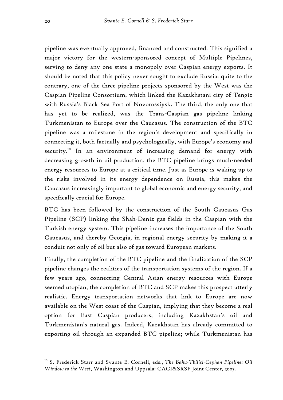pipeline was eventually approved, financed and constructed. This signified a major victory for the western-sponsored concept of Multiple Pipelines, serving to deny any one state a monopoly over Caspian energy exports. It should be noted that this policy never sought to exclude Russia: quite to the contrary, one of the three pipeline projects sponsored by the West was the Caspian Pipeline Consortium, which linked the Kazakhstani city of Tengiz with Russia's Black Sea Port of Novorossiysk. The third, the only one that has yet to be realized, was the Trans-Caspian gas pipeline linking Turkmenistan to Europe over the Caucasus. The construction of the BTC pipeline was a milestone in the region's development and specifically in connecting it, both factually and psychologically, with Europe's economy and security.<sup>10</sup> In an environment of increasing demand for energy with decreasing growth in oil production, the BTC pipeline brings much-needed energy resources to Europe at a critical time. Just as Europe is waking up to the risks involved in its energy dependence on Russia, this makes the Caucasus increasingly important to global economic and energy security, and specifically crucial for Europe.

BTC has been followed by the construction of the South Caucasus Gas Pipeline (SCP) linking the Shah-Deniz gas fields in the Caspian with the Turkish energy system. This pipeline increases the importance of the South Caucasus, and thereby Georgia, in regional energy security by making it a conduit not only of oil but also of gas toward European markets.

Finally, the completion of the BTC pipeline and the finalization of the SCP pipeline changes the realities of the transportation systems of the region. If a few years ago, connecting Central Asian energy resources with Europe seemed utopian, the completion of BTC and SCP makes this prospect utterly realistic. Energy transportation networks that link to Europe are now available on the West coast of the Caspian, implying that they become a real option for East Caspian producers, including Kazakhstan's oil and Turkmenistan's natural gas. Indeed, Kazakhstan has already committed to exporting oil through an expanded BTC pipeline; while Turkmenistan has

<sup>&</sup>lt;sup>10</sup> S. Frederick Starr and Svante E. Cornell, eds., *The Baku-Tbilisi-Ceyhan Pipeline: Oil Window to the West*, Washington and Uppsala: CACI&SRSP Joint Center, 2005.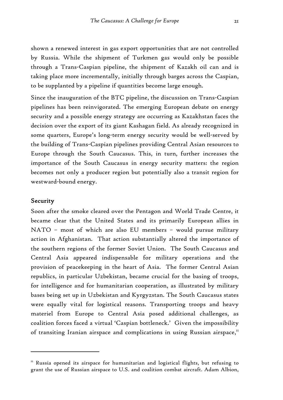shown a renewed interest in gas export opportunities that are not controlled by Russia. While the shipment of Turkmen gas would only be possible through a Trans-Caspian pipeline, the shipment of Kazakh oil can and is taking place more incrementally, initially through barges across the Caspian, to be supplanted by a pipeline if quantities become large enough.

Since the inauguration of the BTC pipeline, the discussion on Trans-Caspian pipelines has been reinvigorated. The emerging European debate on energy security and a possible energy strategy are occurring as Kazakhstan faces the decision over the export of its giant Kashagan field. As already recognized in some quarters, Europe's long-term energy security would be well-served by the building of Trans-Caspian pipelines providing Central Asian resources to Europe through the South Caucasus. This, in turn, further increases the importance of the South Caucasus in energy security matters: the region becomes not only a producer region but potentially also a transit region for westward-bound energy.

#### Security

 $\overline{a}$ 

Soon after the smoke cleared over the Pentagon and World Trade Centre, it became clear that the United States and its primarily European allies in NATO – most of which are also EU members – would pursue military action in Afghanistan. That action substantially altered the importance of the southern regions of the former Soviet Union. The South Caucasus and Central Asia appeared indispensable for military operations and the provision of peacekeeping in the heart of Asia. The former Central Asian republics, in particular Uzbekistan, became crucial for the basing of troops, for intelligence and for humanitarian cooperation, as illustrated by military bases being set up in Uzbekistan and Kyrgyzstan. The South Caucasus states were equally vital for logistical reasons. Transporting troops and heavy materiel from Europe to Central Asia posed additional challenges, as coalition forces faced a virtual 'Caspian bottleneck.' Given the impossibility of transiting Iranian airspace and complications in using Russian airspace, $^{\mathrm{II}}$ 

 $11$ <sup>II</sup> Russia opened its airspace for humanitarian and logistical flights, but refusing to grant the use of Russian airspace to U.S. and coalition combat aircraft. Adam Albion,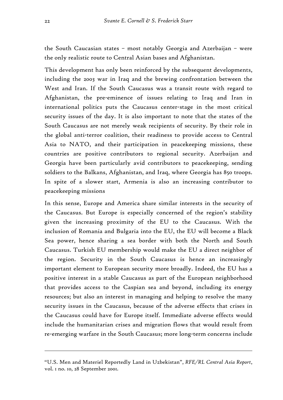the South Caucasian states – most notably Georgia and Azerbaijan – were the only realistic route to Central Asian bases and Afghanistan.

This development has only been reinforced by the subsequent developments, including the 2003 war in Iraq and the brewing confrontation between the West and Iran. If the South Caucasus was a transit route with regard to Afghanistan, the pre-eminence of issues relating to Iraq and Iran in international politics puts the Caucasus center-stage in the most critical security issues of the day. It is also important to note that the states of the South Caucasus are not merely weak recipients of security. By their role in the global anti-terror coalition, their readiness to provide access to Central Asia to NATO, and their participation in peacekeeping missions, these countries are positive contributors to regional security. Azerbaijan and Georgia have been particularly avid contributors to peacekeeping, sending soldiers to the Balkans, Afghanistan, and Iraq, where Georgia has 850 troops. In spite of a slower start, Armenia is also an increasing contributor to peacekeeping missions

In this sense, Europe and America share similar interests in the security of the Caucasus. But Europe is especially concerned of the region's stability given the increasing proximity of the EU to the Caucasus. With the inclusion of Romania and Bulgaria into the EU, the EU will become a Black Sea power, hence sharing a sea border with both the North and South Caucasus. Turkish EU membership would make the EU a direct neighbor of the region. Security in the South Caucasus is hence an increasingly important element to European security more broadly. Indeed, the EU has a positive interest in a stable Caucasus as part of the European neighborhood that provides access to the Caspian sea and beyond, including its energy resources; but also an interest in managing and helping to resolve the many security issues in the Caucasus, because of the adverse effects that crises in the Caucasus could have for Europe itself. Immediate adverse effects would include the humanitarian crises and migration flows that would result from re-emerging warfare in the South Caucasus; more long-term concerns include

<sup>&</sup>quot;U.S. Men and Materiel Reportedly Land in Uzbekistan", *RFE/RL Central Asia Report*, vol. 1 no. 10, 28 September 2001.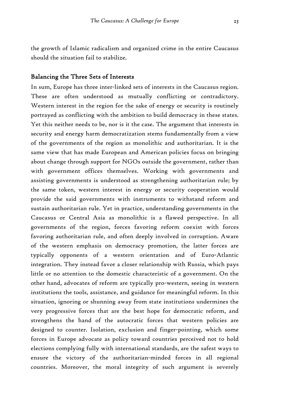the growth of Islamic radicalism and organized crime in the entire Caucasus should the situation fail to stabilize.

#### Balancing the Three Sets of Interests

In sum, Europe has three inter-linked sets of interests in the Caucasus region. These are often understood as mutually conflicting or contradictory. Western interest in the region for the sake of energy or security is routinely portrayed as conflicting with the ambition to build democracy in these states. Yet this neither needs to be, nor is it the case. The argument that interests in security and energy harm democratization stems fundamentally from a view of the governments of the region as monolithic and authoritarian. It is the same view that has made European and American policies focus on bringing about change through support for NGOs outside the government, rather than with government offices themselves. Working with governments and assisting governments is understood as strengthening authoritarian rule; by the same token, western interest in energy or security cooperation would provide the said governments with instruments to withstand reform and sustain authoritarian rule. Yet in practice, understanding governments in the Caucasus or Central Asia as monolithic is a flawed perspective. In all governments of the region, forces favoring reform coexist with forces favoring authoritarian rule, and often deeply involved in corruption. Aware of the western emphasis on democracy promotion, the latter forces are typically opponents of a western orientation and of Euro-Atlantic integration. They instead favor a closer relationship with Russia, which pays little or no attention to the domestic characteristic of a government. On the other hand, advocates of reform are typically pro-western, seeing in western institutions the tools, assistance, and guidance for meaningful reform. In this situation, ignoring or shunning away from state institutions undermines the very progressive forces that are the best hope for democratic reform, and strengthens the hand of the autocratic forces that western policies are designed to counter. Isolation, exclusion and finger-pointing, which some forces in Europe advocate as policy toward countries perceived not to hold elections complying fully with international standards, are the safest ways to ensure the victory of the authoritarian-minded forces in all regional countries. Moreover, the moral integrity of such argument is severely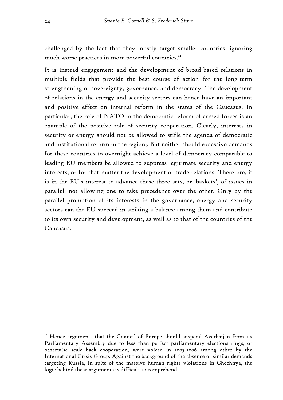challenged by the fact that they mostly target smaller countries, ignoring much worse practices in more powerful countries.<sup>12</sup>

It is instead engagement and the development of broad-based relations in multiple fields that provide the best course of action for the long-term strengthening of sovereignty, governance, and democracy. The development of relations in the energy and security sectors can hence have an important and positive effect on internal reform in the states of the Caucasus. In particular, the role of NATO in the democratic reform of armed forces is an example of the positive role of security cooperation. Clearly, interests in security or energy should not be allowed to stifle the agenda of democratic and institutional reform in the region;. But neither should excessive demands for these countries to overnight achieve a level of democracy comparable to leading EU members be allowed to suppress legitimate security and energy interests, or for that matter the development of trade relations. Therefore, it is in the EU's interest to advance these three sets, or 'baskets', of issues in parallel, not allowing one to take precedence over the other. Only by the parallel promotion of its interests in the governance, energy and security sectors can the EU succeed in striking a balance among them and contribute to its own security and development, as well as to that of the countries of the Caucasus.

 $12$  Hence arguments that the Council of Europe should suspend Azerbaijan from its Parliamentary Assembly due to less than perfect parliamentary elections rings, or otherwise scale back cooperation, were voiced in 2005-2006 among other by the International Crisis Group. Against the background of the absence of similar demands targeting Russia, in spite of the massive human rights violations in Chechnya, the logic behind these arguments is difficult to comprehend.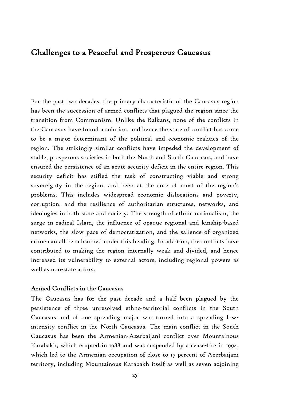## Challenges to a Peaceful and Prosperous Caucasus

For the past two decades, the primary characteristic of the Caucasus region has been the succession of armed conflicts that plagued the region since the transition from Communism. Unlike the Balkans, none of the conflicts in the Caucasus have found a solution, and hence the state of conflict has come to be a major determinant of the political and economic realities of the region. The strikingly similar conflicts have impeded the development of stable, prosperous societies in both the North and South Caucasus, and have ensured the persistence of an acute security deficit in the entire region. This security deficit has stifled the task of constructing viable and strong sovereignty in the region, and been at the core of most of the region's problems. This includes widespread economic dislocations and poverty, corruption, and the resilience of authoritarian structures, networks, and ideologies in both state and society. The strength of ethnic nationalism, the surge in radical Islam, the influence of opaque regional and kinship-based networks, the slow pace of democratization, and the salience of organized crime can all be subsumed under this heading. In addition, the conflicts have contributed to making the region internally weak and divided, and hence increased its vulnerability to external actors, including regional powers as well as non-state actors.

#### Armed Conflicts in the Caucasus

The Caucasus has for the past decade and a half been plagued by the persistence of three unresolved ethno-territorial conflicts in the South Caucasus and of one spreading major war turned into a spreading lowintensity conflict in the North Caucasus. The main conflict in the South Caucasus has been the Armenian-Azerbaijani conflict over Mountainous Karabakh, which erupted in 1988 and was suspended by a cease-fire in 1994, which led to the Armenian occupation of close to 17 percent of Azerbaijani territory, including Mountainous Karabakh itself as well as seven adjoining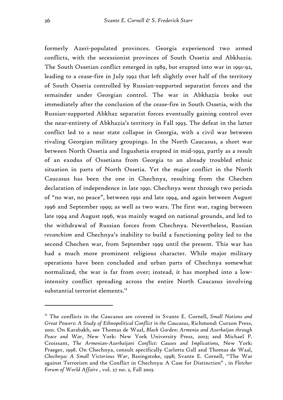formerly Azeri-populated provinces. Georgia experienced two armed conflicts, with the secessionist provinces of South Ossetia and Abkhazia. The South Ossetian conflict emerged in 1989, but erupted into war in 1991-92, leading to a cease-fire in July 1992 that left slightly over half of the territory of South Ossetia controlled by Russian-supported separatist forces and the remainder under Georgian control. The war in Abkhazia broke out immediately after the conclusion of the cease-fire in South Ossetia, with the Russian-supported Abkhaz separatist forces eventually gaining control over the near-entirety of Abkhazia's territory in Fall 1993. The defeat in the latter conflict led to a near state collapse in Georgia, with a civil war between rivaling Georgian military groupings. In the North Caucasus, a short war between North Ossetia and Ingushetia erupted in mid-1992, partly as a result of an exodus of Ossetians from Georgia to an already troubled ethnic situation in parts of North Ossetia. Yet the major conflict in the North Caucasus has been the one in Chechnya, resulting from the Chechen declaration of independence in late 1991. Chechnya went through two periods of "no war, no peace", between 1991 and late 1994, and again between August 1996 and September 1999; as well as two wars. The first war, raging between late 1994 and August 1996, was mainly waged on national grounds, and led to the withdrawal of Russian forces from Chechnya. Nevertheless, Russian *revanchism* and Chechnya's inability to build a functioning polity led to the second Chechen war, from September 1999 until the present. This war has had a much more prominent religious character. While major military operations have been concluded and urban parts of Chechnya somewhat normalized, the war is far from over; instead, it has morphed into a lowintensity conflict spreading across the entire North Caucasus involving substantial terrorist elements.<sup>13</sup>

<sup>13</sup> The conflicts in the Caucasus are covered in Svante E. Cornell, *Small Nations and Great Powers: A Study of Ethnopolitical Conflict in the Caucasus*, Richmond: Curzon Press, 2001. On Karabakh, see Thomas de Waal, *Black Garden: Armenia and Azerbaijan through Peace and War*, New York: New York University Press, 2003; and Michael P. Croissant, *The Armenian-Azerbaijani Conflict: Causes and Implications,* New York: Praeger, 1998. On Chechnya, consult specifically Carlotta Gall and Thomas de Waal, *Chechnya: A Small Victorious War*, Basingstoke, 1998; Svante E. Cornell, "The War against Terrorism and the Conflict in Chechnya: A Case for Distinction" , in *Fletcher Forum of World Affairs* , vol. 27 no. 2, Fall 2003.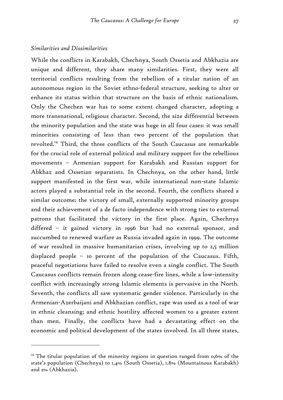#### *Similarities and Dissimilarities*

 $\overline{a}$ 

While the conflicts in Karabakh, Chechnya, South Ossetia and Abkhazia are unique and different, they share many similarities. First, they were all territorial conflicts resulting from the rebellion of a titular nation of an autonomous region in the Soviet ethno-federal structure, seeking to alter or enhance its status within that structure on the basis of ethnic nationalism. Only the Chechen war has to some extent changed character, adopting a more transnational, religious character. Second, the size differential between the minority population and the state was huge in all four cases: it was small minorities consisting of less than two percent of the population that revolted.14 Third, the three conflicts of the South Caucasus are remarkable for the crucial role of external political and military support for the rebellious movements – Armenian support for Karabakh and Russian support for Abkhaz and Ossetian separatists. In Chechnya, on the other hand, little support manifested in the first war, while international non-state Islamic actors played a substantial role in the second. Fourth, the conflicts shared a similar outcome: the victory of small, externally supported minority groups and their achievement of a de facto independence with strong ties to external patrons that facilitated the victory in the first place. Again, Chechnya differed – it gained victory in 1996 but had no external sponsor, and succumbed to renewed warfare as Russia invaded again in 1999. The outcome of war resulted in massive humanitarian crises, involving up to 2,5 million displaced people – 10 percent of the population of the Caucasus. Fifth, peaceful negotiations have failed to resolve even a single conflict. The South Caucasus conflicts remain frozen along cease-fire lines, while a low-intensity conflict with increasingly strong Islamic elements is pervasive in the North. Seventh, the conflicts all saw systematic gender violence. Particularly in the Armenian-Azerbaijani and Abkhazian conflict, rape was used as a tool of war in ethnic cleansing; and ethnic hostility affected women to a greater extent than men. Finally, the conflicts have had a devastating effect on the economic and political development of the states involved. In all three states,

<sup>&</sup>lt;sup>14</sup> The titular population of the minority regions in question ranged from  $0.6\%$  of the state's population (Chechnya) to 1,4% (South Ossetia), 1.8% (Mountainous Karabakh) and 2% (Abkhazia).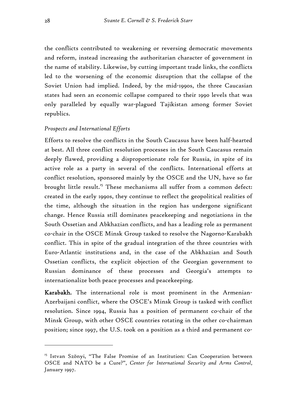the conflicts contributed to weakening or reversing democratic movements and reform, instead increasing the authoritarian character of government in the name of stability. Likewise, by cutting important trade links, the conflicts led to the worsening of the economic disruption that the collapse of the Soviet Union had implied. Indeed, by the mid-1990s, the three Caucasian states had seen an economic collapse compared to their 1990 levels that was only paralleled by equally war-plagued Tajikistan among former Soviet republics.

#### *Prospects and International Efforts*

Efforts to resolve the conflicts in the South Caucasus have been half-hearted at best. All three conflict resolution processes in the South Caucasus remain deeply flawed, providing a disproportionate role for Russia, in spite of its active role as a party in several of the conflicts. International efforts at conflict resolution, sponsored mainly by the OSCE and the UN, have so far brought little result.<sup>15</sup> These mechanisms all suffer from a common defect: created in the early 1990s, they continue to reflect the geopolitical realities of the time, although the situation in the region has undergone significant change. Hence Russia still dominates peacekeeping and negotiations in the South Ossetian and Abkhazian conflicts, and has a leading role as permanent co-chair in the OSCE Minsk Group tasked to resolve the Nagorno-Karabakh conflict. This in spite of the gradual integration of the three countries with Euro-Atlantic institutions and, in the case of the Abkhazian and South Ossetian conflicts, the explicit objection of the Georgian government to Russian dominance of these processes and Georgia's attempts to internationalize both peace processes and peacekeeping.

Karabakh. The international role is most prominent in the Armenian-Azerbaijani conflict, where the OSCE's Minsk Group is tasked with conflict resolution. Since 1994, Russia has a position of permanent co-chair of the Minsk Group, with other OSCE countries rotating in the other co-chairman position; since 1997, the U.S. took on a position as a third and permanent co-

<sup>&</sup>lt;sup>15</sup> Istvan Szönyi, "The False Promise of an Institution: Can Cooperation between OSCE and NATO be a Cure?", *Center for International Security and Arms Control*, January 1997.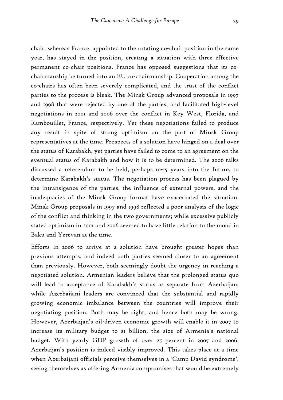chair, whereas France, appointed to the rotating co-chair position in the same year, has stayed in the position, creating a situation with three effective permanent co-chair positions. France has opposed suggestions that its cochairmanship be turned into an EU co-chairmanship. Cooperation among the co-chairs has often been severely complicated, and the trust of the conflict parties to the process is bleak. The Minsk Group advanced proposals in 1997 and 1998 that were rejected by one of the parties, and facilitated high-level negotiations in 2001 and 2006 over the conflict in Key West, Florida, and Rambouillet, France, respectively. Yet these negotiations failed to produce any result in spite of strong optimism on the part of Minsk Group representatives at the time. Prospects of a solution have hinged on a deal over the status of Karabakh, yet parties have failed to come to an agreement on the eventual status of Karabakh and how it is to be determined. The 2006 talks discussed a referendum to be held, perhaps 10-15 years into the future, to determine Karabakh's status. The negotiation process has been plagued by the intransigence of the parties, the influence of external powers, and the inadequacies of the Minsk Group format have exacerbated the situation. Minsk Group proposals in 1997 and 1998 reflected a poor analysis of the logic of the conflict and thinking in the two governments; while excessive publicly stated optimism in 2001 and 2006 seemed to have little relation to the mood in Baku and Yerevan at the time.

Efforts in 2006 to arrive at a solution have brought greater hopes than previous attempts, and indeed both parties seemed closer to an agreement than previously. However, both seemingly doubt the urgency in reaching a negotiated solution. Armenian leaders believe that the prolonged status quo will lead to acceptance of Karabakh's status as separate from Azerbaijan; while Azerbaijani leaders are convinced that the substantial and rapidly growing economic imbalance between the countries will improve their negotiating position. Both may be right, and hence both may be wrong. However, Azerbaijan's oil-driven economic growth will enable it in 2007 to increase its military budget to \$1 billion, the size of Armenia's national budget. With yearly GDP growth of over 25 percent in 2005 and 2006, Azerbaijan's position is indeed visibly improved. This takes place at a time when Azerbaijani officials perceive themselves in a 'Camp David syndrome', seeing themselves as offering Armenia compromises that would be extremely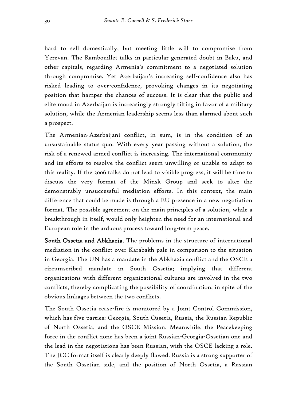hard to sell domestically, but meeting little will to compromise from Yerevan. The Rambouillet talks in particular generated doubt in Baku, and other capitals, regarding Armenia's commitment to a negotiated solution through compromise. Yet Azerbaijan's increasing self-confidence also has risked leading to over-confidence, provoking changes in its negotiating position that hamper the chances of success. It is clear that the public and elite mood in Azerbaijan is increasingly strongly tilting in favor of a military solution, while the Armenian leadership seems less than alarmed about such a prospect.

The Armenian-Azerbaijani conflict, in sum, is in the condition of an unsustainable status quo. With every year passing without a solution, the risk of a renewed armed conflict is increasing. The international community and its efforts to resolve the conflict seem unwilling or unable to adapt to this reality. If the 2006 talks do not lead to visible progress, it will be time to discuss the very format of the Minsk Group and seek to alter the demonstrably unsuccessful mediation efforts. In this context, the main difference that could be made is through a EU presence in a new negotiation format. The possible agreement on the main principles of a solution, while a breakthrough in itself, would only heighten the need for an international and European role in the arduous process toward long-term peace.

South Ossetia and Abkhazia. The problems in the structure of international mediation in the conflict over Karabakh pale in comparison to the situation in Georgia. The UN has a mandate in the Abkhazia conflict and the OSCE a circumscribed mandate in South Ossetia; implying that different organizations with different organizational cultures are involved in the two conflicts, thereby complicating the possibility of coordination, in spite of the obvious linkages between the two conflicts.

The South Ossetia cease-fire is monitored by a Joint Control Commission, which has five parties: Georgia, South Ossetia, Russia, the Russian Republic of North Ossetia, and the OSCE Mission. Meanwhile, the Peacekeeping force in the conflict zone has been a joint Russian-Georgia-Ossetian one and the lead in the negotiations has been Russian, with the OSCE lacking a role. The JCC format itself is clearly deeply flawed. Russia is a strong supporter of the South Ossetian side, and the position of North Ossetia, a Russian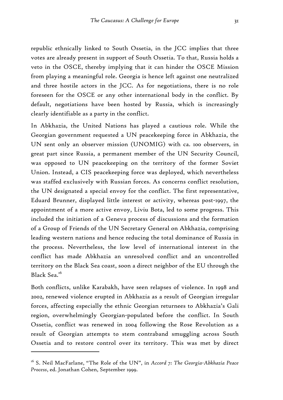republic ethnically linked to South Ossetia, in the JCC implies that three votes are already present in support of South Ossetia. To that, Russia holds a veto in the OSCE, thereby implying that it can hinder the OSCE Mission from playing a meaningful role. Georgia is hence left against one neutralized and three hostile actors in the JCC. As for negotiations, there is no role foreseen for the OSCE or any other international body in the conflict. By default, negotiations have been hosted by Russia, which is increasingly clearly identifiable as a party in the conflict.

In Abkhazia, the United Nations has played a cautious role. While the Georgian government requested a UN peacekeeping force in Abkhazia, the UN sent only an observer mission (UNOMIG) with ca. 100 observers, in great part since Russia, a permanent member of the UN Security Council, was opposed to UN peacekeeping on the territory of the former Soviet Union. Instead, a CIS peacekeeping force was deployed, which nevertheless was staffed exclusively with Russian forces. As concerns conflict resolution, the UN designated a special envoy for the conflict. The first representative, Eduard Brunner, displayed little interest or activity, whereas post-1997, the appointment of a more active envoy, Liviu Bota, led to some progress. This included the initiation of a Geneva process of discussions and the formation of a Group of Friends of the UN Secretary General on Abkhazia, comprising leading western nations and hence reducing the total dominance of Russia in the process. Nevertheless, the low level of international interest in the conflict has made Abkhazia an unresolved conflict and an uncontrolled territory on the Black Sea coast, soon a direct neighbor of the EU through the Black Sea.16

Both conflicts, unlike Karabakh, have seen relapses of violence. In 1998 and 2002, renewed violence erupted in Abkhazia as a result of Georgian irregular forces, affecting especially the ethnic Georgian returnees to Abkhazia's Gali region, overwhelmingly Georgian-populated before the conflict. In South Ossetia, conflict was renewed in 2004 following the Rose Revolution as a result of Georgian attempts to stem contraband smuggling across South Ossetia and to restore control over its territory. This was met by direct

<sup>16</sup> S. Neil MacFarlane, "The Role of the UN", in *Accord 7: The Georgia-Abkhazia Peace Process*, ed. Jonathan Cohen, September 1999.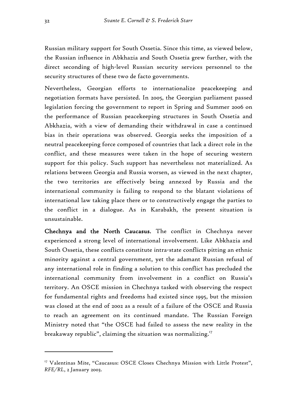Russian military support for South Ossetia. Since this time, as viewed below, the Russian influence in Abkhazia and South Ossetia grew further, with the direct seconding of high-level Russian security services personnel to the security structures of these two de facto governments.

Nevertheless, Georgian efforts to internationalize peacekeeping and negotiation formats have persisted. In 2005, the Georgian parliament passed legislation forcing the government to report in Spring and Summer 2006 on the performance of Russian peacekeeping structures in South Ossetia and Abkhazia, with a view of demanding their withdrawal in case a continued bias in their operations was observed. Georgia seeks the imposition of a neutral peacekeeping force composed of countries that lack a direct role in the conflict, and these measures were taken in the hope of securing western support for this policy. Such support has nevertheless not materialized. As relations between Georgia and Russia worsen, as viewed in the next chapter, the two territories are effectively being annexed by Russia and the international community is failing to respond to the blatant violations of international law taking place there or to constructively engage the parties to the conflict in a dialogue. As in Karabakh, the present situation is unsustainable.

Chechnya and the North Caucasus. The conflict in Chechnya never experienced a strong level of international involvement. Like Abkhazia and South Ossetia, these conflicts constitute intra-state conflicts pitting an ethnic minority against a central government, yet the adamant Russian refusal of any international role in finding a solution to this conflict has precluded the international community from involvement in a conflict on Russia's territory. An OSCE mission in Chechnya tasked with observing the respect for fundamental rights and freedoms had existed since 1995, but the mission was closed at the end of 2002 as a result of a failure of the OSCE and Russia to reach an agreement on its continued mandate. The Russian Foreign Ministry noted that "the OSCE had failed to assess the new reality in the breakaway republic", claiming the situation was normalizing.<sup>17</sup>

<sup>&</sup>lt;sup>17</sup> Valentinas Mite, "Caucasus: OSCE Closes Chechnya Mission with Little Protest", *RFE/RL*, 2 January 2003.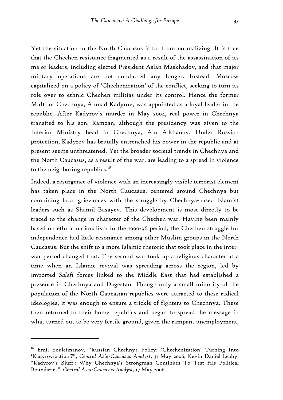Yet the situation in the North Caucasus is far from normalizing. It is true that the Chechen resistance fragmented as a result of the assassination of its major leaders, including elected President Aslan Maskhadov, and that major military operations are not conducted any longer. Instead, Moscow capitalized on a policy of 'Chechenization' of the conflict, seeking to turn its role over to ethnic Chechen militias under its control. Hence the former Mufti of Chechnya, Ahmad Kadyrov, was appointed as a loyal leader in the republic. After Kadyrov's murder in May 2004, real power in Chechnya transited to his son, Ramzan, although the presidency was given to the Interior Ministry head in Chechnya, Alu Alkhanov. Under Russian protection, Kadyrov has brutally entrenched his power in the republic and at present seems unthreatened. Yet the broader societal trends in Chechnya and the North Caucasus, as a result of the war, are leading to a spread in violence to the neighboring republics. $18$ 

Indeed, a resurgence of violence with an increasingly visible terrorist element has taken place in the North Caucasus, centered around Chechnya but combining local grievances with the struggle by Chechnya-based Islamist leaders such as Shamil Basayev. This development is most directly to be traced to the change in character of the Chechen war. Having been mainly based on ethnic nationalism in the 1990-96 period, the Chechen struggle for independence had little resonance among other Muslim groups in the North Caucasus. But the shift to a more Islamic rhetoric that took place in the interwar period changed that. The second war took up a religious character at a time when an Islamic revival was spreading across the region, led by imported *Salafi* forces linked to the Middle East that had established a presence in Chechnya and Dagestan. Though only a small minority of the population of the North Caucasian republics were attracted to these radical ideologies, it was enough to ensure a trickle of fighters to Chechnya. These then returned to their home republics and began to spread the message in what turned out to be very fertile ground, given the rampant unemployment,

<sup>&</sup>lt;sup>18</sup> Emil Souleimanov, "Russian Chechnya Policy: 'Chechenization' Turning Into 'Kadyrovization'?", *Central Asia-Caucasus Analyst*, 31 May 2006; Kevin Daniel Leahy, "Kadyrov's Bluff': Why Chechnya's Strongman Continues To Test His Political Boundaries", *Central Asia-Caucasus Analyst*, 17 May 2006.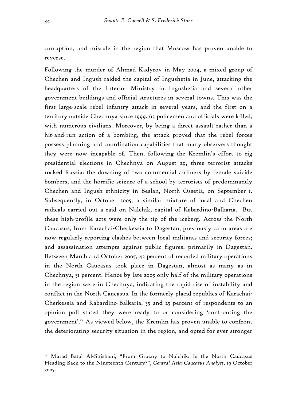corruption, and misrule in the region that Moscow has proven unable to reverse.

Following the murder of Ahmad Kadyrov in May 2004, a mixed group of Chechen and Ingush raided the capital of Ingushetia in June, attacking the headquarters of the Interior Ministry in Ingushetia and several other government buildings and official structures in several towns. This was the first large-scale rebel infantry attack in several years, and the first on a territory outside Chechnya since 1999. 62 policemen and officials were killed, with numerous civilians. Moreover, by being a direct assault rather than a hit-and-run action of a bombing, the attack proved that the rebel forces possess planning and coordination capabilities that many observers thought they were now incapable of. Then, following the Kremlin's effort to rig presidential elections in Chechnya on August 29, three terrorist attacks rocked Russia: the downing of two commercial airliners by female suicide bombers, and the horrific seizure of a school by terrorists of predominantly Chechen and Ingush ethnicity in Beslan, North Ossetia, on September 1. Subsequently, in October 2005, a similar mixture of local and Chechen radicals carried out a raid on Nalchik, capital of Kabardino-Balkaria. But these high-profile acts were only the tip of the iceberg. Across the North Caucasus, from Karachai-Cherkessia to Dagestan, previously calm areas are now regularly reporting clashes between local militants and security forces; and assassination attempts against public figures, primarily in Dagestan. Between March and October 2005, 42 percent of recorded military operations in the North Caucasus took place in Dagestan, almost as many as in Chechnya, 51 percent. Hence by late 2005 only half of the military operations in the region were in Chechnya, indicating the rapid rise of instability and conflict in the North Caucasus. In the formerly placid republics of Karachai-Cherkessia and Kabardino-Balkaria, 35 and 25 percent of respondents to an opinion poll stated they were ready to or considering 'confronting the government'.19 As viewed below, the Kremlin has proven unable to confront the deteriorating security situation in the region, and opted for ever stronger

<sup>&</sup>lt;sup>19</sup> Murad Batal Al-Shishani, "From Grozny to Nalchik: Is the North Caucasus Heading Back to the Nineteenth Century?", *Central Asia-Caucasus Analyst*, 19 October 2005.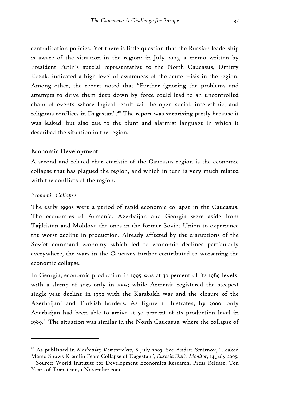centralization policies. Yet there is little question that the Russian leadership is aware of the situation in the region: in July 2005, a memo written by President Putin's special representative to the North Caucasus, Dmitry Kozak, indicated a high level of awareness of the acute crisis in the region. Among other, the report noted that "Further ignoring the problems and attempts to drive them deep down by force could lead to an uncontrolled chain of events whose logical result will be open social, interethnic, and religious conflicts in Dagestan".20 The report was surprising partly because it was leaked, but also due to the blunt and alarmist language in which it described the situation in the region.

### Economic Development

A second and related characteristic of the Caucasus region is the economic collapse that has plagued the region, and which in turn is very much related with the conflicts of the region.

#### *Economic Collapse*

 $\overline{a}$ 

The early 1990s were a period of rapid economic collapse in the Caucasus. The economies of Armenia, Azerbaijan and Georgia were aside from Tajikistan and Moldova the ones in the former Soviet Union to experience the worst decline in production. Already affected by the disruptions of the Soviet command economy which led to economic declines particularly everywhere, the wars in the Caucasus further contributed to worsening the economic collapse.

In Georgia, economic production in 1995 was at 30 percent of its 1989 levels, with a slump of 30% only in 1993; while Armenia registered the steepest single-year decline in 1992 with the Karabakh war and the closure of the Azerbaijani and Turkish borders. As figure I illustrates, by 2000, only Azerbaijan had been able to arrive at 50 percent of its production level in 1989.<sup>21</sup> The situation was similar in the North Caucasus, where the collapse of

<sup>20</sup> As published in *Moskovsky Komsomolets*, 8 July 2005. See Andrei Smirnov, "Leaked Memo Shows Kremlin Fears Collapse of Dagestan", *Eurasia Daily Monitor*, 14 July 2005.<br><sup>21</sup> Source: World Institute for Development Economics Research, Press Release, Ten Years of Transition, 1 November 2001.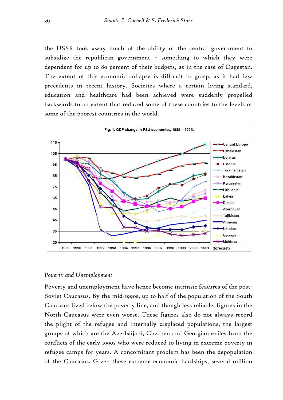the USSR took away much of the ability of the central government to subsidize the republican government – something to which they were dependent for up to 80 percent of their budgets, as in the case of Dagestan. The extent of this economic collapse is difficult to grasp, as it had few precedents in recent history. Societies where a certain living standard, education and healthcare had been achieved were suddenly propelled backwards to an extent that reduced some of these countries to the levels of some of the poorest countries in the world.



#### *Poverty and Unemployment*

Poverty and unemployment have hence become intrinsic features of the post-Soviet Caucasus. By the mid-1990s, up to half of the population of the South Caucasus lived below the poverty line, and though less reliable, figures in the North Caucasus were even worse. These figures also do not always record the plight of the refugee and internally displaced populations, the largest groups of which are the Azerbaijani, Chechen and Georgian exiles from the conflicts of the early 1990s who were reduced to living in extreme poverty in refugee camps for years. A concomitant problem has been the depopulation of the Caucasus. Given these extreme economic hardships, several million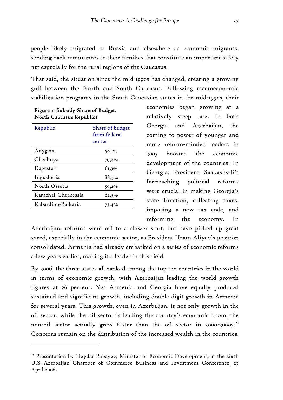people likely migrated to Russia and elsewhere as economic migrants, sending back remittances to their families that constitute an important safety net especially for the rural regions of the Caucasus.

That said, the situation since the mid-1990s has changed, creating a growing gulf between the North and South Caucasus. Following macroeconomic stabilization programs in the South Caucasian states in the mid-1990s, their

| Share of budget        |
|------------------------|
| from federal<br>center |
| 58,1%                  |
| 79,4%                  |
| 81,3%                  |
| 88,3%                  |
| 59,2%                  |
| 62,5%                  |
| 73,4%                  |
|                        |

 $\overline{a}$ 

| Figure 2: Subsidy Share of Budget, |  |
|------------------------------------|--|
| <b>North Caucasus Republics</b>    |  |

economies began growing at a relatively steep rate. In both Georgia and Azerbaijan, the coming to power of younger and more reform-minded leaders in 2003 boosted the economic development of the countries. In Georgia, President Saakashvili's far-reaching political reforms were crucial in making Georgia's state function, collecting taxes, imposing a new tax code, and reforming the economy. In

Azerbaijan, reforms were off to a slower start, but have picked up great speed, especially in the economic sector, as President Ilham Aliyev's position consolidated. Armenia had already embarked on a series of economic reforms a few years earlier, making it a leader in this field.

By 2006, the three states all ranked among the top ten countries in the world in terms of economic growth, with Azerbaijan leading the world growth figures at 26 percent. Yet Armenia and Georgia have equally produced sustained and significant growth, including double digit growth in Armenia for several years. This growth, even in Azerbaijan, is not only growth in the oil sector: while the oil sector is leading the country's economic boom, the non-oil sector actually grew faster than the oil sector in 2000-20005.<sup>22</sup> Concerns remain on the distribution of the increased wealth in the countries.

<sup>&</sup>lt;sup>22</sup> Presentation by Heydar Babayev, Minister of Economic Development, at the sixth U.S.-Azerbaijan Chamber of Commerce Business and Investment Conference, 27 April 2006.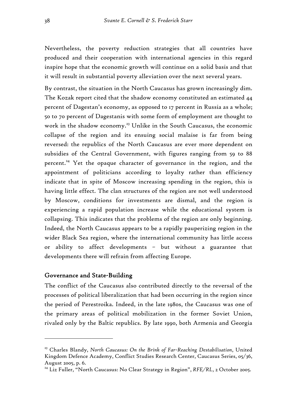Nevertheless, the poverty reduction strategies that all countries have produced and their cooperation with international agencies in this regard inspire hope that the economic growth will continue on a solid basis and that it will result in substantial poverty alleviation over the next several years.

By contrast, the situation in the North Caucasus has grown increasingly dim. The Kozak report cited that the shadow economy constituted an estimated 44 percent of Dagestan's economy, as opposed to 17 percent in Russia as a whole; 50 to 70 percent of Dagestanis with some form of employment are thought to work in the shadow economy.<sup>23</sup> Unlike in the South Caucasus, the economic collapse of the region and its ensuing social malaise is far from being reversed: the republics of the North Caucasus are ever more dependent on subsidies of the Central Government, with figures ranging from 59 to 88 percent.<sup>24</sup> Yet the opaque character of governance in the region, and the appointment of politicians according to loyalty rather than efficiency indicate that in spite of Moscow increasing spending in the region, this is having little effect. The clan structures of the region are not well understood by Moscow, conditions for investments are dismal, and the region is experiencing a rapid population increase while the educational system is collapsing. This indicates that the problems of the region are only beginning. Indeed, the North Caucasus appears to be a rapidly pauperizing region in the wider Black Sea region, where the international community has little access or ability to affect developments – but without a guarantee that developments there will refrain from affecting Europe.

# Governance and State-Building

 $\overline{a}$ 

The conflict of the Caucasus also contributed directly to the reversal of the processes of political liberalization that had been occurring in the region since the period of Perestroika. Indeed, in the late 1980s, the Caucasus was one of the primary areas of political mobilization in the former Soviet Union, rivaled only by the Baltic republics. By late 1990, both Armenia and Georgia

<sup>23</sup> Charles Blandy, *North Caucasus: On the Brink of Far-Reaching Destabilisation*, United Kingdom Defence Academy, Conflict Studies Research Center, Caucasus Series, 05/36, August 2005, p. 6.

<sup>&</sup>lt;sup>24</sup> Liz Fuller, "North Caucasus: No Clear Strategy in Region", *RFE/RL*, 2 October 2005.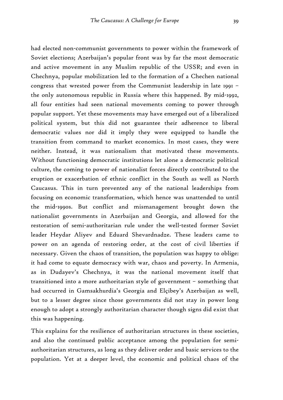had elected non-communist governments to power within the framework of Soviet elections; Azerbaijan's popular front was by far the most democratic and active movement in any Muslim republic of the USSR; and even in Chechnya, popular mobilization led to the formation of a Chechen national congress that wrested power from the Communist leadership in late 1991 – the only autonomous republic in Russia where this happened. By mid-1992, all four entities had seen national movements coming to power through popular support. Yet these movements may have emerged out of a liberalized political system, but this did not guarantee their adherence to liberal democratic values nor did it imply they were equipped to handle the transition from command to market economics. In most cases, they were neither. Instead, it was nationalism that motivated these movements. Without functioning democratic institutions let alone a democratic political culture, the coming to power of nationalist forces directly contributed to the eruption or exacerbation of ethnic conflict in the South as well as North Caucasus. This in turn prevented any of the national leaderships from focusing on economic transformation, which hence was unattended to until the mid-1990s. But conflict and mismanagement brought down the nationalist governments in Azerbaijan and Georgia, and allowed for the restoration of semi-authoritarian rule under the well-tested former Soviet leader Heydar Aliyev and Eduard Shevardnadze. These leaders came to power on an agenda of restoring order, at the cost of civil liberties if necessary. Given the chaos of transition, the population was happy to oblige: it had come to equate democracy with war, chaos and poverty. In Armenia, as in Dudayev's Chechnya, it was the national movement itself that transitioned into a more authoritarian style of government – something that had occurred in Gamsakhurdia's Georgia and Elçibey's Azerbaijan as well, but to a lesser degree since those governments did not stay in power long enough to adopt a strongly authoritarian character though signs did exist that this was happening.

This explains for the resilience of authoritarian structures in these societies, and also the continued public acceptance among the population for semiauthoritarian structures, as long as they deliver order and basic services to the population. Yet at a deeper level, the economic and political chaos of the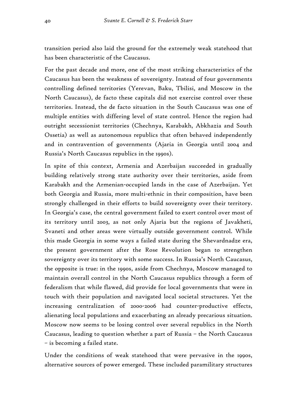transition period also laid the ground for the extremely weak statehood that has been characteristic of the Caucasus.

For the past decade and more, one of the most striking characteristics of the Caucasus has been the weakness of sovereignty. Instead of four governments controlling defined territories (Yerevan, Baku, Tbilisi, and Moscow in the North Caucasus), de facto these capitals did not exercise control over these territories. Instead, the de facto situation in the South Caucasus was one of multiple entities with differing level of state control. Hence the region had outright secessionist territories (Chechnya, Karabakh, Abkhazia and South Ossetia) as well as autonomous republics that often behaved independently and in contravention of governments (Ajaria in Georgia until 2004 and Russia's North Caucasus republics in the 1990s).

In spite of this context, Armenia and Azerbaijan succeeded in gradually building relatively strong state authority over their territories, aside from Karabakh and the Armenian-occupied lands in the case of Azerbaijan. Yet both Georgia and Russia, more multi-ethnic in their composition, have been strongly challenged in their efforts to build sovereignty over their territory. In Georgia's case, the central government failed to exert control over most of its territory until 2003, as not only Ajaria but the regions of Javakheti, Svaneti and other areas were virtually outside government control. While this made Georgia in some ways a failed state during the Shevardnadze era, the present government after the Rose Revolution began to strengthen sovereignty over its territory with some success. In Russia's North Caucasus, the opposite is true: in the 1990s, aside from Chechnya, Moscow managed to maintain overall control in the North Caucasus republics through a form of federalism that while flawed, did provide for local governments that were in touch with their population and navigated local societal structures. Yet the increasing centralization of 2000-2006 had counter-productive effects, alienating local populations and exacerbating an already precarious situation. Moscow now seems to be losing control over several republics in the North Caucasus, leading to question whether a part of Russia – the North Caucasus – is becoming a failed state.

Under the conditions of weak statehood that were pervasive in the 1990s, alternative sources of power emerged. These included paramilitary structures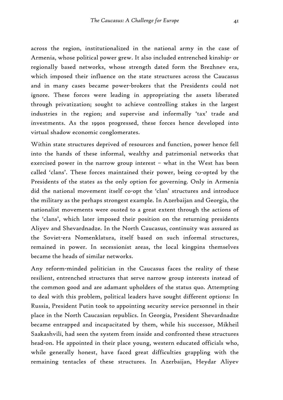across the region, institutionalized in the national army in the case of Armenia, whose political power grew. It also included entrenched kinship- or regionally based networks, whose strength dated form the Brezhnev era, which imposed their influence on the state structures across the Caucasus and in many cases became power-brokers that the Presidents could not ignore. These forces were leading in appropriating the assets liberated through privatization; sought to achieve controlling stakes in the largest industries in the region; and supervise and informally 'tax' trade and investments. As the 1990s progressed, these forces hence developed into virtual shadow economic conglomerates.

Within state structures deprived of resources and function, power hence fell into the hands of these informal, wealthy and patrimonial networks that exercised power in the narrow group interest – what in the West has been called 'clans'. These forces maintained their power, being co-opted by the Presidents of the states as the only option for governing. Only in Armenia did the national movement itself co-opt the 'clan' structures and introduce the military as the perhaps strongest example. In Azerbaijan and Georgia, the nationalist movements were ousted to a great extent through the actions of the 'clans', which later imposed their position on the returning presidents Aliyev and Shevardnadze. In the North Caucasus, continuity was assured as the Soviet-era Nomenklatura, itself based on such informal structures, remained in power. In secessionist areas, the local kingpins themselves became the heads of similar networks.

Any reform-minded politician in the Caucasus faces the reality of these resilient, entrenched structures that serve narrow group interests instead of the common good and are adamant upholders of the status quo. Attempting to deal with this problem, political leaders have sought different options: In Russia, President Putin took to appointing security service personnel in their place in the North Caucasian republics. In Georgia, President Shevardnadze became entrapped and incapacitated by them, while his successor, Mikheil Saakashvili, had seen the system from inside and confronted these structures head-on. He appointed in their place young, western educated officials who, while generally honest, have faced great difficulties grappling with the remaining tentacles of these structures. In Azerbaijan, Heydar Aliyev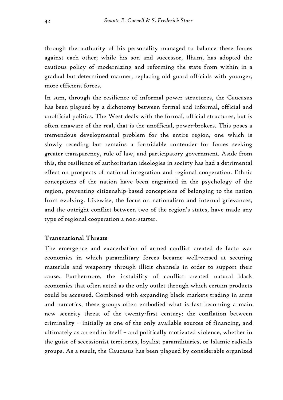through the authority of his personality managed to balance these forces against each other; while his son and successor, Ilham, has adopted the cautious policy of modernizing and reforming the state from within in a gradual but determined manner, replacing old guard officials with younger, more efficient forces.

In sum, through the resilience of informal power structures, the Caucasus has been plagued by a dichotomy between formal and informal, official and unofficial politics. The West deals with the formal, official structures, but is often unaware of the real, that is the unofficial, power-brokers. This poses a tremendous developmental problem for the entire region, one which is slowly receding but remains a formidable contender for forces seeking greater transparency, rule of law, and participatory government. Aside from this, the resilience of authoritarian ideologies in society has had a detrimental effect on prospects of national integration and regional cooperation. Ethnic conceptions of the nation have been engrained in the psychology of the region, preventing citizenship-based conceptions of belonging to the nation from evolving. Likewise, the focus on nationalism and internal grievances, and the outright conflict between two of the region's states, have made any type of regional cooperation a non-starter.

# Transnational Threats

The emergence and exacerbation of armed conflict created de facto war economies in which paramilitary forces became well-versed at securing materials and weaponry through illicit channels in order to support their cause. Furthermore, the instability of conflict created natural black economies that often acted as the only outlet through which certain products could be accessed. Combined with expanding black markets trading in arms and narcotics, these groups often embodied what is fast becoming a main new security threat of the twenty-first century: the conflation between criminality – initially as one of the only available sources of financing, and ultimately as an end in itself – and politically motivated violence, whether in the guise of secessionist territories, loyalist paramilitaries, or Islamic radicals groups. As a result, the Caucasus has been plagued by considerable organized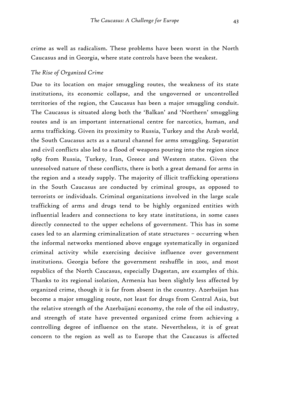crime as well as radicalism. These problems have been worst in the North Caucasus and in Georgia, where state controls have been the weakest.

### *The Rise of Organized Crime*

Due to its location on major smuggling routes, the weakness of its state institutions, its economic collapse, and the ungoverned or uncontrolled territories of the region, the Caucasus has been a major smuggling conduit. The Caucasus is situated along both the 'Balkan' and 'Northern' smuggling routes and is an important international centre for narcotics, human, and arms trafficking. Given its proximity to Russia, Turkey and the Arab world, the South Caucasus acts as a natural channel for arms smuggling. Separatist and civil conflicts also led to a flood of weapons pouring into the region since 1989 from Russia, Turkey, Iran, Greece and Western states. Given the unresolved nature of these conflicts, there is both a great demand for arms in the region and a steady supply. The majority of illicit trafficking operations in the South Caucasus are conducted by criminal groups, as opposed to terrorists or individuals. Criminal organizations involved in the large scale trafficking of arms and drugs tend to be highly organized entities with influential leaders and connections to key state institutions, in some cases directly connected to the upper echelons of government. This has in some cases led to an alarming criminalization of state structures – occurring when the informal networks mentioned above engage systematically in organized criminal activity while exercising decisive influence over government institutions. Georgia before the government reshuffle in 2001, and most republics of the North Caucasus, especially Dagestan, are examples of this. Thanks to its regional isolation, Armenia has been slightly less affected by organized crime, though it is far from absent in the country. Azerbaijan has become a major smuggling route, not least for drugs from Central Asia, but the relative strength of the Azerbaijani economy, the role of the oil industry, and strength of state have prevented organized crime from achieving a controlling degree of influence on the state. Nevertheless, it is of great concern to the region as well as to Europe that the Caucasus is affected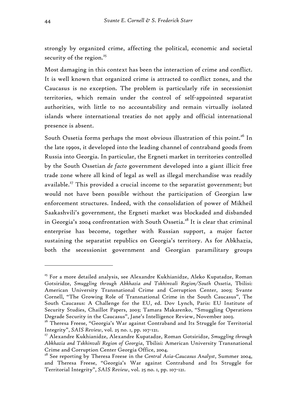strongly by organized crime, affecting the political, economic and societal security of the region.<sup>25</sup>

Most damaging in this context has been the interaction of crime and conflict. It is well known that organized crime is attracted to conflict zones, and the Caucasus is no exception. The problem is particularly rife in secessionist territories, which remain under the control of self-appointed separatist authorities, with little to no accountability and remain virtually isolated islands where international treaties do not apply and official international presence is absent.

South Ossetia forms perhaps the most obvious illustration of this point.<sup>26</sup> In the late 1990s, it developed into the leading channel of contraband goods from Russia into Georgia. In particular, the Ergneti market in territories controlled by the South Ossetian *de facto* government developed into a giant illicit free trade zone where all kind of legal as well as illegal merchandise was readily available.<sup>27</sup> This provided a crucial income to the separatist government; but would not have been possible without the participation of Georgian law enforcement structures. Indeed, with the consolidation of power of Mikheil Saakashvili's government, the Ergneti market was blockaded and disbanded in Georgia's 2004 confrontation with South Ossetia.<sup>28</sup> It is clear that criminal enterprise has become, together with Russian support, a major factor sustaining the separatist republics on Georgia's territory. As for Abkhazia, both the secessionist government and Georgian paramilitary groups

<sup>&</sup>lt;sup>25</sup> For a more detailed analysis, see Alexandre Kukhianidze, Aleko Kupatadze, Roman Gotsiridze, *Smuggling through Abkhazia and Tskhinvali Region/South Ossetia*, Tbilisi: American University Transnational Crime and Corruption Center, 2003; Svante Cornell, "The Growing Role of Transnational Crime in the South Caucasus", The South Caucasus: A Challenge for the EU, ed. Dov Lynch, Paris: EU Institute of Security Studies, Chaillot Papers, 2003; Tamara Makarenko, "Smuggling Operations Degrade Security in the Caucasus", Jane's Intelligence Review, November 2003.

<sup>&</sup>lt;sup>26</sup> Theresa Freese, "Georgia's War against Contraband and Its Struggle for Territorial Integrity", *SAIS Review*, vol. 25 no. 1, pp. 107-121.

<sup>27</sup> Alexandre Kukhianidze, Alexandre Kupatadze, Roman Gotsiridze, *Smuggling through Abkhazia and Tskhinvali Region of Georgia*, Tbilisi: American University Transnational Crime and Corruption Center Georgia Office, 2004.

<sup>28</sup> See reporting by Theresa Freese in the *Central Asia-Caucasus Analyst*, Summer 2004, and Theresa Freese, "Georgia's War against Contraband and Its Struggle for Territorial Integrity", *SAIS Review*, vol. 25 no. 1, pp. 107-121.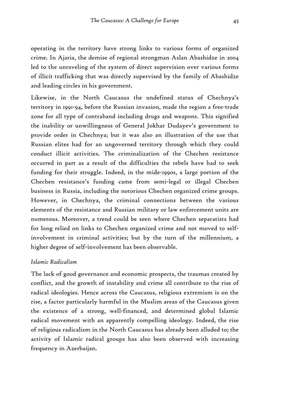operating in the territory have strong links to various forms of organized crime. In Ajaria, the demise of regional strongman Aslan Abashidze in 2004 led to the unraveling of the system of direct supervision over various forms of illicit trafficking that was directly supervised by the family of Abashidze and leading circles in his government.

Likewise, in the North Caucasus the undefined status of Chechnya's territory in 1991-94, before the Russian invasion, made the region a free-trade zone for all type of contraband including drugs and weapons. This signified the inability or unwillingness of General Jokhar Dudayev's government to provide order in Chechnya; but it was also an illustration of the use that Russian elites had for an ungoverned territory through which they could conduct illicit activities. The criminalization of the Chechen resistance occurred in part as a result of the difficulties the rebels have had to seek funding for their struggle. Indeed, in the mide-1990s, a large portion of the Chechen resistance's funding came from semi-legal or illegal Chechen business in Russia, including the notorious Chechen organized crime groups. However, in Chechnya, the criminal connections between the various elements of the resistance and Russian military or law enforcement units are numerous. Moreover, a trend could be seen where Chechen separatists had for long relied on links to Chechen organized crime and not moved to selfinvolvement in criminal activities; but by the turn of the millennium, a higher degree of self-involvement has been observable.

# *Islamic Radicalism*

The lack of good governance and economic prospects, the traumas created by conflict, and the growth of instability and crime all contribute to the rise of radical ideologies. Hence across the Caucasus, religious extremism is on the rise, a factor particularly harmful in the Muslim areas of the Caucasus given the existence of a strong, well-financed, and determined global Islamic radical movement with an apparently compelling ideology. Indeed, the rise of religious radicalism in the North Caucasus has already been alluded to; the activity of Islamic radical groups has also been observed with increasing frequency in Azerbaijan.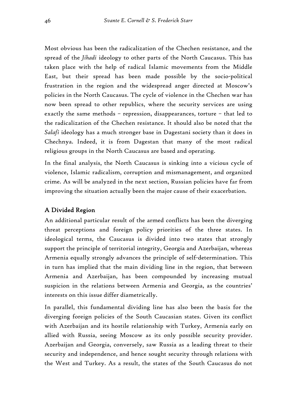Most obvious has been the radicalization of the Chechen resistance, and the spread of the *Jihadi* ideology to other parts of the North Caucasus. This has taken place with the help of radical Islamic movements from the Middle East, but their spread has been made possible by the socio-political frustration in the region and the widespread anger directed at Moscow's policies in the North Caucasus. The cycle of violence in the Chechen war has now been spread to other republics, where the security services are using exactly the same methods – repression, disappearances, torture – that led to the radicalization of the Chechen resistance. It should also be noted that the *Salafi* ideology has a much stronger base in Dagestani society than it does in Chechnya. Indeed, it is from Dagestan that many of the most radical religious groups in the North Caucasus are based and operating.

In the final analysis, the North Caucasus is sinking into a vicious cycle of violence, Islamic radicalism, corruption and mismanagement, and organized crime. As will be analyzed in the next section, Russian policies have far from improving the situation actually been the major cause of their exacerbation.

# A Divided Region

An additional particular result of the armed conflicts has been the diverging threat perceptions and foreign policy priorities of the three states. In ideological terms, the Caucasus is divided into two states that strongly support the principle of territorial integrity, Georgia and Azerbaijan, whereas Armenia equally strongly advances the principle of self-determination. This in turn has implied that the main dividing line in the region, that between Armenia and Azerbaijan, has been compounded by increasing mutual suspicion in the relations between Armenia and Georgia, as the countries' interests on this issue differ diametrically.

In parallel, this fundamental dividing line has also been the basis for the diverging foreign policies of the South Caucasian states. Given its conflict with Azerbaijan and its hostile relationship with Turkey, Armenia early on allied with Russia, seeing Moscow as its only possible security provider. Azerbaijan and Georgia, conversely, saw Russia as a leading threat to their security and independence, and hence sought security through relations with the West and Turkey. As a result, the states of the South Caucasus do not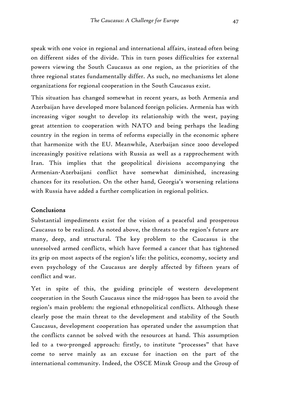speak with one voice in regional and international affairs, instead often being on different sides of the divide. This in turn poses difficulties for external powers viewing the South Caucasus as one region, as the priorities of the three regional states fundamentally differ. As such, no mechanisms let alone organizations for regional cooperation in the South Caucasus exist.

This situation has changed somewhat in recent years, as both Armenia and Azerbaijan have developed more balanced foreign policies. Armenia has with increasing vigor sought to develop its relationship with the west, paying great attention to cooperation with NATO and being perhaps the leading country in the region in terms of reforms especially in the economic sphere that harmonize with the EU. Meanwhile, Azerbaijan since 2000 developed increasingly positive relations with Russia as well as a rapprochement with Iran. This implies that the geopolitical divisions accompanying the Armenian-Azerbaijani conflict have somewhat diminished, increasing chances for its resolution. On the other hand, Georgia's worsening relations with Russia have added a further complication in regional politics.

# Conclusions

Substantial impediments exist for the vision of a peaceful and prosperous Caucasus to be realized. As noted above, the threats to the region's future are many, deep, and structural. The key problem to the Caucasus is the unresolved armed conflicts, which have formed a cancer that has tightened its grip on most aspects of the region's life: the politics, economy, society and even psychology of the Caucasus are deeply affected by fifteen years of conflict and war.

Yet in spite of this, the guiding principle of western development cooperation in the South Caucasus since the mid-1990s has been to avoid the region's main problem: the regional ethnopolitical conflicts. Although these clearly pose the main threat to the development and stability of the South Caucasus, development cooperation has operated under the assumption that the conflicts cannot be solved with the resources at hand. This assumption led to a two-pronged approach: firstly, to institute "processes" that have come to serve mainly as an excuse for inaction on the part of the international community. Indeed, the OSCE Minsk Group and the Group of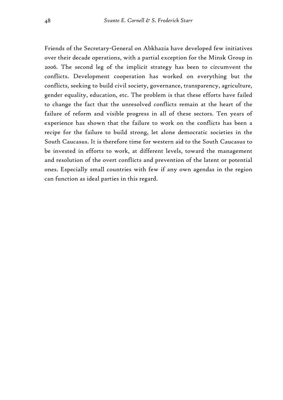Friends of the Secretary-General on Abkhazia have developed few initiatives over their decade operations, with a partial exception for the Minsk Group in 2006. The second leg of the implicit strategy has been to circumvent the conflicts. Development cooperation has worked on everything but the conflicts, seeking to build civil society, governance, transparency, agriculture, gender equality, education, etc. The problem is that these efforts have failed to change the fact that the unresolved conflicts remain at the heart of the failure of reform and visible progress in all of these sectors. Ten years of experience has shown that the failure to work on the conflicts has been a recipe for the failure to build strong, let alone democratic societies in the South Caucasus. It is therefore time for western aid to the South Caucasus to be invested in efforts to work, at different levels, toward the management and resolution of the overt conflicts and prevention of the latent or potential ones. Especially small countries with few if any own agendas in the region can function as ideal parties in this regard.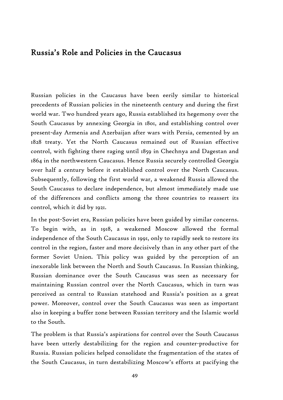# Russia's Role and Policies in the Caucasus

Russian policies in the Caucasus have been eerily similar to historical precedents of Russian policies in the nineteenth century and during the first world war. Two hundred years ago, Russia established its hegemony over the South Caucasus by annexing Georgia in 1801, and establishing control over present-day Armenia and Azerbaijan after wars with Persia, cemented by an 1828 treaty. Yet the North Caucasus remained out of Russian effective control, with fighting there raging until 1859 in Chechnya and Dagestan and 1864 in the northwestern Caucasus. Hence Russia securely controlled Georgia over half a century before it established control over the North Caucasus. Subsequently, following the first world war, a weakened Russia allowed the South Caucasus to declare independence, but almost immediately made use of the differences and conflicts among the three countries to reassert its control, which it did by 1921.

In the post-Soviet era, Russian policies have been guided by similar concerns. To begin with, as in 1918, a weakened Moscow allowed the formal independence of the South Caucasus in 1991, only to rapidly seek to restore its control in the region, faster and more decisively than in any other part of the former Soviet Union. This policy was guided by the perception of an inexorable link between the North and South Caucasus. In Russian thinking, Russian dominance over the South Caucasus was seen as necessary for maintaining Russian control over the North Caucasus, which in turn was perceived as central to Russian statehood and Russia's position as a great power. Moreover, control over the South Caucasus was seen as important also in keeping a buffer zone between Russian territory and the Islamic world to the South.

The problem is that Russia's aspirations for control over the South Caucasus have been utterly destabilizing for the region and counter-productive for Russia. Russian policies helped consolidate the fragmentation of the states of the South Caucasus, in turn destabilizing Moscow's efforts at pacifying the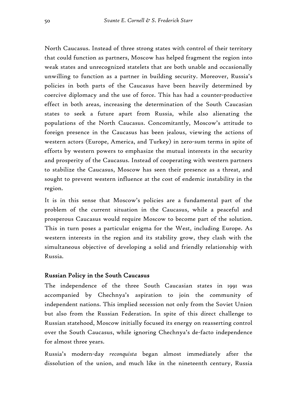North Caucasus. Instead of three strong states with control of their territory that could function as partners, Moscow has helped fragment the region into weak states and unrecognized statelets that are both unable and occasionally unwilling to function as a partner in building security. Moreover, Russia's policies in both parts of the Caucasus have been heavily determined by coercive diplomacy and the use of force. This has had a counter-productive effect in both areas, increasing the determination of the South Caucasian states to seek a future apart from Russia, while also alienating the populations of the North Caucasus. Concomitantly, Moscow's attitude to foreign presence in the Caucasus has been jealous, viewing the actions of western actors (Europe, America, and Turkey) in zero-sum terms in spite of efforts by western powers to emphasize the mutual interests in the security and prosperity of the Caucasus. Instead of cooperating with western partners to stabilize the Caucasus, Moscow has seen their presence as a threat, and sought to prevent western influence at the cost of endemic instability in the region.

It is in this sense that Moscow's policies are a fundamental part of the problem of the current situation in the Caucasus, while a peaceful and prosperous Caucasus would require Moscow to become part of the solution. This in turn poses a particular enigma for the West, including Europe. As western interests in the region and its stability grow, they clash with the simultaneous objective of developing a solid and friendly relationship with Russia.

# Russian Policy in the South Caucasus

The independence of the three South Caucasian states in 1991 was accompanied by Chechnya's aspiration to join the community of independent nations. This implied secession not only from the Soviet Union but also from the Russian Federation. In spite of this direct challenge to Russian statehood, Moscow initially focused its energy on reasserting control over the South Caucasus, while ignoring Chechnya's de-facto independence for almost three years.

Russia's modern-day *reconquista* began almost immediately after the dissolution of the union, and much like in the nineteenth century, Russia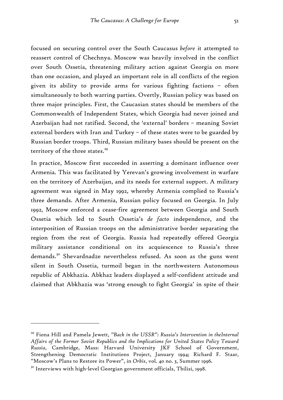focused on securing control over the South Caucasus *before* it attempted to reassert control of Chechnya. Moscow was heavily involved in the conflict over South Ossetia, threatening military action against Georgia on more than one occasion, and played an important role in all conflicts of the region given its ability to provide arms for various fighting factions – often simultaneously to both warring parties. Overtly, Russian policy was based on three major principles. First, the Caucasian states should be members of the Commonwealth of Independent States, which Georgia had never joined and Azerbaijan had not ratified. Second, the 'external' borders – meaning Soviet external borders with Iran and Turkey – of these states were to be guarded by Russian border troops. Third, Russian military bases should be present on the territory of the three states.<sup>29</sup>

In practice, Moscow first succeeded in asserting a dominant influence over Armenia. This was facilitated by Yerevan's growing involvement in warfare on the territory of Azerbaijan, and its needs for external support. A military agreement was signed in May 1992, whereby Armenia complied to Russia's three demands. After Armenia, Russian policy focused on Georgia. In July 1992, Moscow enforced a cease-fire agreement between Georgia and South Ossetia which led to South Ossetia's *de facto* independence, and the interposition of Russian troops on the administrative border separating the region from the rest of Georgia. Russia had repeatedly offered Georgia military assistance conditional on its acquiescence to Russia's three demands.<sup>30</sup> Shevardnadze nevertheless refused. As soon as the guns went silent in South Ossetia, turmoil began in the northwestern Autonomous republic of Abkhazia. Abkhaz leaders displayed a self-confident attitude and claimed that Abkhazia was 'strong enough to fight Georgia' in spite of their

<sup>29</sup> Fiona Hill and Pamela Jewett, *"Back in the USSR": Russia's Intervention in theInternal Affairs of the Former Soviet Republics and the Implications for United States Policy Toward Russia*, Cambridge, Mass: Harvard University JKF School of Government, Strengthening Democratic Institutions Project, January 1994; Richard F. Staar, "Moscow's Plans to Restore its Power", in *Orbis*, vol. 40 no. 3, Summer 1996.

<sup>&</sup>lt;sup>30</sup> Interviews with high-level Georgian government officials, Tbilisi, 1998.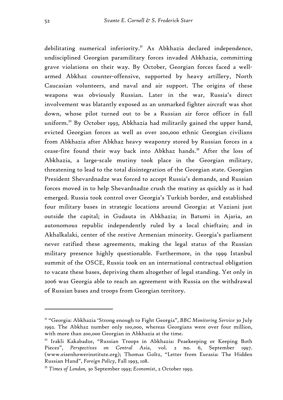debilitating numerical inferiority.<sup>31</sup> As Abkhazia declared independence, undisciplined Georgian paramilitary forces invaded Abkhazia, committing grave violations on their way. By October, Georgian forces faced a wellarmed Abkhaz counter-offensive, supported by heavy artillery, North Caucasian volunteers, and naval and air support. The origins of these weapons was obviously Russian. Later in the war, Russia's direct involvement was blatantly exposed as an unmarked fighter aircraft was shot down, whose pilot turned out to be a Russian air force officer in full uniform.<sup>32</sup> By October 1993, Abkhazia had militarily gained the upper hand, evicted Georgian forces as well as over 200,000 ethnic Georgian civilians from Abkhazia after Abkhaz heavy weaponry stored by Russian forces in a cease-fire found their way back into Abkhaz hands.<sup>33</sup> After the loss of Abkhazia, a large-scale mutiny took place in the Georgian military, threatening to lead to the total disintegration of the Georgian state. Georgian President Shevardnadze was forced to accept Russia's demands, and Russian forces moved in to help Shevardnadze crush the mutiny as quickly as it had emerged. Russia took control over Georgia's Turkish border, and established four military bases in strategic locations around Georgia: at Vaziani just outside the capital; in Gudauta in Abkhazia; in Batumi in Ajaria, an autonomous republic independently ruled by a local chieftain; and in Akhalkalaki, center of the restive Armenian minority. Georgia's parliament never ratified these agreements, making the legal status of the Russian military presence highly questionable. Furthermore, in the 1999 Istanbul summit of the OSCE, Russia took on an international contractual obligation to vacate these bases, depriving them altogether of legal standing. Yet only in 2006 was Georgia able to reach an agreement with Russia on the withdrawal of Russian bases and troops from Georgian territory.

<sup>31 &</sup>quot;Georgia: Abkhazia 'Strong enough to Fight Georgia", *BBC Monitoring Service* 30 July 1992. The Abkhaz number only 100,000, whereas Georgians were over four million, with more than 200,000 Georgian in Abkhazia at the time.

<sup>&</sup>lt;sup>32</sup> Irakli Kakabadze, "Russian Troops in Abkhazia: Peaekeeping or Keeping Both Pieces", *Perspectives on Central Asia*, vol. 2 no. 6, September 1997. (www.eisenhowerinstitute.org); Thomas Goltz, "Letter from Eurasia: The Hidden Russian Hand", *Foreign Policy*, Fall 1993, 108.

<sup>33</sup> *Times of London,* 30 September 1993; *Economist*, 2 October 1993.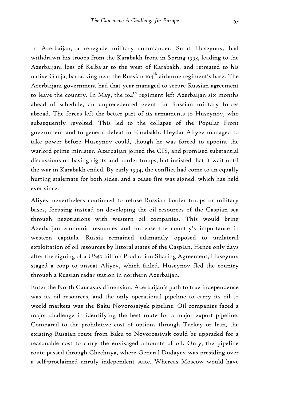In Azerbaijan, a renegade military commander, Surat Huseynov, had withdrawn his troops from the Karabakh front in Spring 1993, leading to the Azerbaijani loss of Kelbajar to the west of Karabakh, and retreated to his native Ganja, barracking near the Russian 104<sup>th</sup> airborne regiment's base. The Azerbaijani government had that year managed to secure Russian agreement to leave the country. In May, the  $104<sup>th</sup>$  regiment left Azerbaijan six months ahead of schedule, an unprecedented event for Russian military forces abroad. The forces left the better part of its armaments to Huseynov, who subsequently revolted. This led to the collapse of the Popular Front government and to general defeat in Karabakh. Heydar Aliyev managed to take power before Huseynov could, though he was forced to appoint the warlord prime minister. Azerbaijan joined the CIS, and promised substantial discussions on basing rights and border troops, but insisted that it wait until the war in Karabakh ended. By early 1994, the conflict had come to an equally hurting stalemate for both sides, and a cease-fire was signed, which has held ever since.

Aliyev nevertheless continued to refuse Russian border troops or military bases, focusing instead on developing the oil resources of the Caspian sea through negotiations with western oil companies. This would bring Azerbaijan economic resources and increase the country's importance in western capitals. Russia remained adamantly opposed to unilateral exploitation of oil resources by littoral states of the Caspian. Hence only days after the signing of a US\$7 billion Production Sharing Agreement, Huseynov staged a coup to unseat Aliyev, which failed. Huseynov fled the country through a Russian radar station in northern Azerbaijan.

Enter the North Caucasus dimension. Azerbaijan's path to true independence was its oil resources, and the only operational pipeline to carry its oil to world markets was the Baku-Novorossiysk pipeline. Oil companies faced a major challenge in identifying the best route for a major export pipeline. Compared to the prohibitive cost of options through Turkey or Iran, the existing Russian route from Baku to Novorossiysk could be upgraded for a reasonable cost to carry the envisaged amounts of oil. Only, the pipeline route passed through Chechnya, where General Dudayev was presiding over a self-proclaimed unruly independent state. Whereas Moscow would have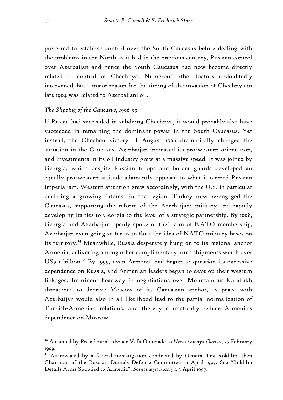preferred to establish control over the South Caucasus before dealing with the problems in the North as it had in the previous century, Russian control over Azerbaijan and hence the South Caucasus had now become directly related to control of Chechnya. Numerous other factors undoubtedly intervened, but a major reason for the timing of the invasion of Chechnya in late 1994 was related to Azerbaijani oil.

#### *The Slipping of the Caucasus, 1996-99*

If Russia had succeeded in subduing Chechnya, it would probably also have succeeded in remaining the dominant power in the South Caucasus. Yet instead, the Chechen victory of August 1996 dramatically changed the situation in the Caucasus. Azerbaijan increased its pro-western orientation, and investments in its oil industry grew at a massive speed. It was joined by Georgia, which despite Russian troops and border guards developed an equally pro-western attitude adamantly opposed to what it termed Russian imperialism. Western attention grew accordingly, with the U.S. in particular declaring a growing interest in the region. Turkey now re-engaged the Caucasus, supporting the reform of the Azerbaijani military and rapidly developing its ties to Georgia to the level of a strategic partnership. By 1998, Georgia and Azerbaijan openly spoke of their aim of NATO membership, Azerbaijan even going so far as to float the idea of NATO military bases on its territory.34 Meanwhile, Russia desperately hung on to its regional anchor Armenia, delivering among other complimentary arms shipments worth over US\$ I billion.<sup>35</sup> By 1999, even Armenia had begun to question its excessive dependence on Russia, and Armenian leaders began to develop their western linkages. Imminent headway in negotiations over Mountainous Karabakh threatened to deprive Moscow of its Caucasian anchor, as peace with Azerbaijan would also in all likelihood lead to the partial normalization of Turkish-Armenian relations, and thereby dramatically reduce Armenia's dependence on Moscow.

<sup>34</sup> As stated by Presidential advisor Vafa Guluzade to *Nezavisimaya Gazeta*, 27 February 1999.

<sup>&</sup>lt;sup>35</sup> As revealed by a federal investigation conducted by General Lev Rokhlin, then Chairman of the Russian Duma's Defense Committee in April 1997. See "Rokhlin Details Arms Supplied to Armenia", *Sovetskaya Rossiya*, 3 April 1997.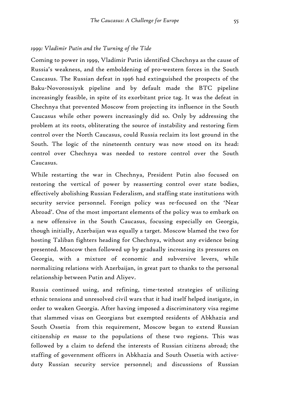#### *1999: Vladimir Putin and the Turning of the Tide*

Coming to power in 1999, Vladimir Putin identified Chechnya as the cause of Russia's weakness, and the emboldening of pro-western forces in the South Caucasus. The Russian defeat in 1996 had extinguished the prospects of the Baku-Novorossiysk pipeline and by default made the BTC pipeline increasingly feasible, in spite of its exorbitant price tag. It was the defeat in Chechnya that prevented Moscow from projecting its influence in the South Caucasus while other powers increasingly did so. Only by addressing the problem at its roots, obliterating the source of instability and restoring firm control over the North Caucasus, could Russia reclaim its lost ground in the South. The logic of the nineteenth century was now stood on its head: control over Chechnya was needed to restore control over the South Caucasus.

While restarting the war in Chechnya, President Putin also focused on restoring the vertical of power by reasserting control over state bodies, effectively abolishing Russian Federalism, and staffing state institutions with security service personnel. Foreign policy was re-focused on the 'Near Abroad'. One of the most important elements of the policy was to embark on a new offensive in the South Caucasus, focusing especially on Georgia, though initially, Azerbaijan was equally a target. Moscow blamed the two for hosting Taliban fighters heading for Chechnya, without any evidence being presented. Moscow then followed up by gradually increasing its pressures on Georgia, with a mixture of economic and subversive levers, while normalizing relations with Azerbaijan, in great part to thanks to the personal relationship between Putin and Aliyev.

Russia continued using, and refining, time-tested strategies of utilizing ethnic tensions and unresolved civil wars that it had itself helped instigate, in order to weaken Georgia. After having imposed a discriminatory visa regime that slammed visas on Georgians but exempted residents of Abkhazia and South Ossetia from this requirement, Moscow began to extend Russian citizenship *en masse* to the populations of these two regions. This was followed by a claim to defend the interests of Russian citizens abroad; the staffing of government officers in Abkhazia and South Ossetia with activeduty Russian security service personnel; and discussions of Russian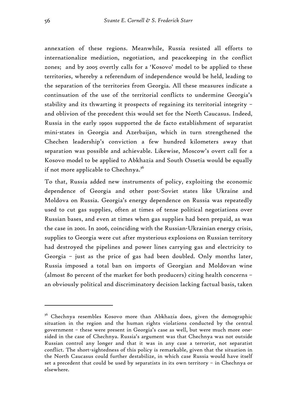annexation of these regions. Meanwhile, Russia resisted all efforts to internationalize mediation, negotiation, and peacekeeping in the conflict zones; and by 2005 overtly calls for a 'Kosovo' model to be applied to these territories, whereby a referendum of independence would be held, leading to the separation of the territories from Georgia. All these measures indicate a continuation of the use of the territorial conflicts to undermine Georgia's stability and its thwarting it prospects of regaining its territorial integrity – and oblivion of the precedent this would set for the North Caucasus. Indeed, Russia in the early 1990s supported the de facto establishment of separatist mini-states in Georgia and Azerbaijan, which in turn strengthened the Chechen leadership's conviction a few hundred kilometers away that separation was possible and achievable. Likewise, Moscow's overt call for a Kosovo model to be applied to Abkhazia and South Ossetia would be equally if not more applicable to Chechnya.<sup>36</sup>

To that, Russia added new instruments of policy, exploiting the economic dependence of Georgia and other post-Soviet states like Ukraine and Moldova on Russia. Georgia's energy dependence on Russia was repeatedly used to cut gas supplies, often at times of tense political negotiations over Russian bases, and even at times when gas supplies had been prepaid, as was the case in 2001. In 2006, coinciding with the Russian-Ukrainian energy crisis, supplies to Georgia were cut after mysterious explosions on Russian territory had destroyed the pipelines and power lines carrying gas and electricity to Georgia – just as the price of gas had been doubled. Only months later, Russia imposed a total ban on imports of Georgian and Moldovan wine (almost 80 percent of the market for both producers) citing health concerns – an obviously political and discriminatory decision lacking factual basis, taken

<sup>&</sup>lt;sup>36</sup> Chechnya resembles Kosovo more than Abkhazia does, given the demographic situation in the region and the human rights violations conducted by the central government – these were present in Georgia's case as well, but were much more onesided in the case of Chechnya. Russia's argument was that Chechnya was not outside Russian control any longer and that it was in any case a terrorist, not separatist conflict. The short-sightedness of this policy is remarkable, given that the situation in the North Caucasus could further destabilize, in which case Russia would have itself set a precedent that could be used by separatists in its own territory – in Chechnya or elsewhere.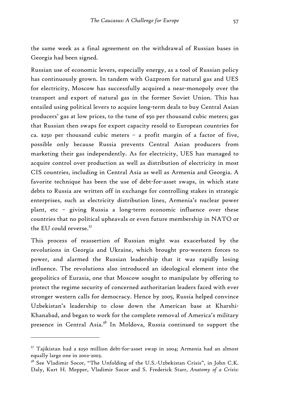the same week as a final agreement on the withdrawal of Russian bases in Georgia had been signed.

Russian use of economic levers, especially energy, as a tool of Russian policy has continuously grown. In tandem with Gazprom for natural gas and UES for electricity, Moscow has successfully acquired a near-monopoly over the transport and export of natural gas in the former Soviet Union. This has entailed using political levers to acquire long-term deals to buy Central Asian producers' gas at low prices, to the tune of \$50 per thousand cubic meters; gas that Russian then swaps for export capacity resold to European countries for ca. \$250 per thousand cubic meters – a profit margin of a factor of five, possible only because Russia prevents Central Asian producers from marketing their gas independently. As for electricity, UES has managed to acquire control over production as well as distribution of electricity in most CIS countries, including in Central Asia as well as Armenia and Georgia. A favorite technique has been the use of debt-for-asset swaps, in which state debts to Russia are written off in exchange for controlling stakes in strategic enterprises, such as electricity distribution lines, Armenia's nuclear power plant, etc – giving Russia a long-term economic influence over these countries that no political upheavals or even future membership in NATO or the EU could reverse.<sup>37</sup>

This process of reassertion of Russian might was exacerbated by the revolutions in Georgia and Ukraine, which brought pro-western forces to power, and alarmed the Russian leadership that it was rapidly losing influence. The revolutions also introduced an ideological element into the geopolitics of Eurasia, one that Moscow sought to manipulate by offering to protect the regime security of concerned authoritarian leaders faced with ever stronger western calls for democracy. Hence by 2005, Russia helped convince Uzbekistan's leadership to close down the American base at Kharshi-Khanabad, and began to work for the complete removal of America's military presence in Central Asia.38 In Moldova, Russia continued to support the

<sup>37</sup> Tajikistan had a \$250 million debt-for-asset swap in 2004; Armenia had an almost equally large one in 2002-2003.

<sup>&</sup>lt;sup>38</sup> See Vladimir Socor, "The Unfolding of the U.S.-Uzbekistan Crisis", in John C.K. Daly, Kurt H. Mepper, Vladimir Socor and S. Frederick Starr, *Anatomy of a Crisis:*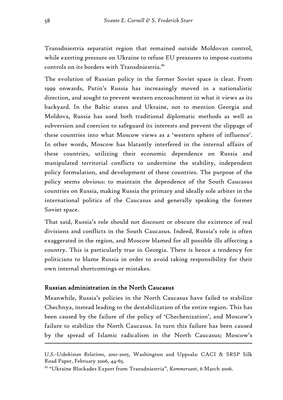Transdniestria separatist region that remained outside Moldovan control, while exerting pressure on Ukraine to refuse EU pressures to impose customs controls on its borders with Transdniestria.39

The evolution of Russian policy in the former Soviet space is clear. From 1999 onwards, Putin's Russia has increasingly moved in a nationalistic direction, and sought to prevent western encroachment in what it views as its backyard. In the Baltic states and Ukraine, not to mention Georgia and Moldova, Russia has used both traditional diplomatic methods as well as subversion and coercion to safeguard its interests and prevent the slippage of these countries into what Moscow views as a 'western sphere of influence'. In other words, Moscow has blatantly interfered in the internal affairs of these countries, utilizing their economic dependence on Russia and manipulated territorial conflicts to undermine the stability, independent policy formulation, and development of these countries. The purpose of the policy seems obvious: to maintain the dependence of the South Caucasus countries on Russia, making Russia the primary and ideally sole arbiter in the international politics of the Caucasus and generally speaking the former Soviet space.

That said, Russia's role should not discount or obscure the existence of real divisions and conflicts in the South Caucasus. Indeed, Russia's role is often exaggerated in the region, and Moscow blamed for all possible ills affecting a country. This is particularly true in Georgia. There is hence a tendency for politicians to blame Russia in order to avoid taking responsibility for their own internal shortcomings or mistakes.

# Russian administration in the North Caucasus

Meanwhile, Russia's policies in the North Caucasus have failed to stabilize Chechnya, instead leading to the destabilization of the entire region. This has been caused by the failure of the policy of 'Chechenization', and Moscow's failure to stabilize the North Caucasus. In turn this failure has been caused by the spread of Islamic radicalism in the North Caucasus; Moscow's

*U.S.-Uzbekistan Relations, 2001-2005*, Washington and Uppsala: CACI & SRSP Silk Road Paper, February 2006, 44-65.

<sup>39 &</sup>quot;Ukraine Blockades Export from Transdniestria", *Kommersant*, 6 March 2006.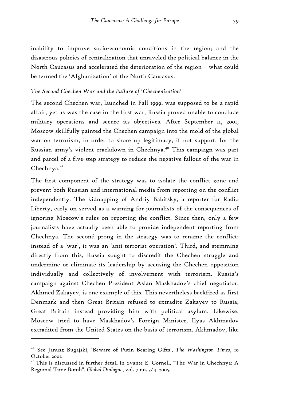inability to improve socio-economic conditions in the region; and the disastrous policies of centralization that unraveled the political balance in the North Caucasus and accelerated the deterioration of the region – what could be termed the 'Afghanization' of the North Caucasus.

### *The Second Chechen War and the Failure of 'Chechenization'*

The second Chechen war, launched in Fall 1999, was supposed to be a rapid affair, yet as was the case in the first war, Russia proved unable to conclude military operations and secure its objectives. After September 11, 2001, Moscow skillfully painted the Chechen campaign into the mold of the global war on terrorism, in order to shore up legitimacy, if not support, for the Russian army's violent crackdown in Chechnya.<sup>40</sup> This campaign was part and parcel of a five-step strategy to reduce the negative fallout of the war in  $Chechnya.<sup>41</sup>$ 

The first component of the strategy was to isolate the conflict zone and prevent both Russian and international media from reporting on the conflict independently. The kidnapping of Andriy Babitsky, a reporter for Radio Liberty, early on served as a warning for journalists of the consequences of ignoring Moscow's rules on reporting the conflict. Since then, only a few journalists have actually been able to provide independent reporting from Chechnya. The second prong in the strategy was to rename the conflict: instead of a 'war', it was an 'anti-terrorist operation'. Third, and stemming directly from this, Russia sought to discredit the Chechen struggle and undermine or eliminate its leadership by accusing the Chechen opposition individually and collectively of involvement with terrorism. Russia's campaign against Chechen President Aslan Maskhadov's chief negotiator, Akhmed Zakayev, is one example of this. This nevertheless backfired as first Denmark and then Great Britain refused to extradite Zakayev to Russia, Great Britain instead providing him with political asylum. Likewise, Moscow tried to have Maskhadov's Foreign Minister, Ilyas Akhmadov extradited from the United States on the basis of terrorism. Akhmadov, like

<sup>40</sup> See Janusz Bugajski, 'Beware of Putin Bearing Gifts', *The Washington Times*, 10 October 2001.

<sup>&</sup>lt;sup>41</sup> This is discussed in further detail in Svante E. Cornell, "The War in Chechnya: A Regional Time Bomb", *Global Dialogue*, vol. 7 no. 3/4, 2005.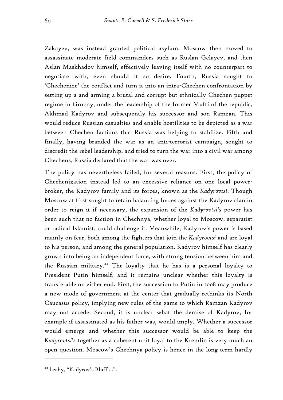Zakayev, was instead granted political asylum. Moscow then moved to assassinate moderate field commanders such as Ruslan Gelayev, and then Aslan Maskhadov himself, effectively leaving itself with no counterpart to negotiate with, even should it so desire. Fourth, Russia sought to 'Chechenize' the conflict and turn it into an intra-Chechen confrontation by setting up a and arming a brutal and corrupt but ethnically Chechen puppet regime in Grozny, under the leadership of the former Mufti of the republic, Akhmad Kadyrov and subsequently his successor and son Ramzan. This would reduce Russian casualties and enable hostilities to be depicted as a war between Chechen factions that Russia was helping to stabilize. Fifth and finally, having branded the war as an anti-terrorist campaign, sought to discredit the rebel leadership, and tried to turn the war into a civil war among Chechens, Russia declared that the war was over.

The policy has nevertheless failed, for several reasons. First, the policy of Chechenization instead led to an excessive reliance on one local powerbroker, the Kadyrov family and its forces, known as the *Kadyrovtsi*. Though Moscow at first sought to retain balancing forces against the Kadyrov clan in order to reign it if necessary, the expansion of the *Kadyrovtsi's* power has been such that no faction in Chechnya, whether loyal to Moscow, separatist or radical Islamist, could challenge it. Meanwhile, Kadyrov's power is based mainly on fear, both among the fighters that join the *Kadyrovtsi* and are loyal to his person, and among the general population. Kadyrov himself has clearly grown into being an independent force, with strong tension between him and the Russian military.<sup>42</sup> The loyalty that he has is a personal loyalty to President Putin himself, and it remains unclear whether this loyalty is transferable on either end. First, the succession to Putin in 2008 may produce a new mode of government at the center that gradually rethinks its North Caucasus policy, implying new rules of the game to which Ramzan Kadyrov may not accede. Second, it is unclear what the demise of Kadyrov, for example if assassinated as his father was, would imply. Whether a successor would emerge and whether this successor would be able to keep the *Kadyrovtsi's* together as a coherent unit loyal to the Kremlin is very much an open question. Moscow's Chechnya policy is hence in the long term hardly

<sup>42</sup> Leahy, "Kadyrov's Bluff'…".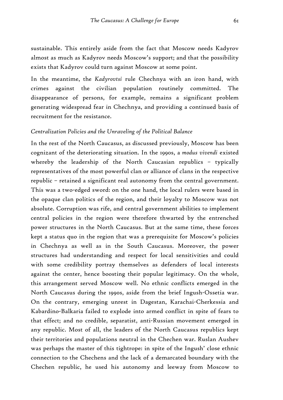sustainable. This entirely aside from the fact that Moscow needs Kadyrov almost as much as Kadyrov needs Moscow's support; and that the possibility exists that Kadyrov could turn against Moscow at some point.

In the meantime, the *Kadyrovtsi* rule Chechnya with an iron hand, with crimes against the civilian population routinely committed. The disappearance of persons, for example, remains a significant problem generating widespread fear in Chechnya, and providing a continued basis of recruitment for the resistance.

### *Centralization Policies and the Unraveling of the Political Balance*

In the rest of the North Caucasus, as discussed previously, Moscow has been cognizant of the deteriorating situation. In the 1990s, a *modus vivendi* existed whereby the leadership of the North Caucasian republics – typically representatives of the most powerful clan or alliance of clans in the respective republic – retained a significant real autonomy from the central government. This was a two-edged sword: on the one hand, the local rulers were based in the opaque clan politics of the region, and their loyalty to Moscow was not absolute. Corruption was rife, and central government abilities to implement central policies in the region were therefore thwarted by the entrenched power structures in the North Caucasus. But at the same time, these forces kept a status quo in the region that was a prerequisite for Moscow's policies in Chechnya as well as in the South Caucasus. Moreover, the power structures had understanding and respect for local sensitivities and could with some credibility portray themselves as defenders of local interests against the center, hence boosting their popular legitimacy. On the whole, this arrangement served Moscow well. No ethnic conflicts emerged in the North Caucasus during the 1990s, aside from the brief Ingush-Ossetia war. On the contrary, emerging unrest in Dagestan, Karachai-Cherkessia and Kabardino-Balkaria failed to explode into armed conflict in spite of fears to that effect; and no credible, separatist, anti-Russian movement emerged in any republic. Most of all, the leaders of the North Caucasus republics kept their territories and populations neutral in the Chechen war. Ruslan Aushev was perhaps the master of this tightrope: in spite of the Ingush' close ethnic connection to the Chechens and the lack of a demarcated boundary with the Chechen republic, he used his autonomy and leeway from Moscow to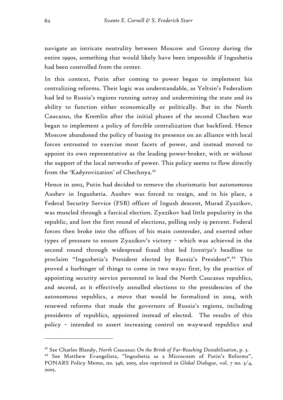navigate an intricate neutrality between Moscow and Grozny during the entire 1990s, something that would likely have been impossible if Ingushetia had been controlled from the center.

In this context, Putin after coming to power began to implement his centralizing reforms. Their logic was understandable, as Yeltsin's Federalism had led to Russia's regions running astray and undermining the state and its ability to function either economically or politically. But in the North Caucasus, the Kremlin after the initial phases of the second Chechen war began to implement a policy of forcible centralization that backfired. Hence Moscow abandoned the policy of basing its presence on an alliance with local forces entrusted to exercise most facets of power, and instead moved to appoint its own representative as the leading power-broker, with or without the support of the local networks of power. This policy seems to flow directly from the 'Kadyrovization' of Chechnya.<sup>43</sup>

Hence in 2002, Putin had decided to remove the charismatic but autonomous Aushev in Ingushetia. Aushev was forced to resign, and in his place, a Federal Security Service (FSB) officer of Ingush descent, Murad Zyazikov, was muscled through a farcical election. Zyazikov had little popularity in the republic, and lost the first round of elections, polling only 19 percent. Federal forces then broke into the offices of his main contender, and exerted other types of pressure to ensure Zyazikov's victory – which was achieved in the second round through widespread fraud that led *Izvestiya's* headline to proclaim "Ingushetia's President elected by Russia's President".44 This proved a harbinger of things to come in two ways: first, by the practice of appointing security service personnel to lead the North Caucasus republics, and second, as it effectively annulled elections to the presidencies of the autonomous republics, a move that would be formalized in 2004, with renewed reforms that made the governors of Russia's regions, including presidents of republics, appointed instead of elected. The results of this policy – intended to assert increasing control on wayward republics and

<sup>43</sup> See Charles Blandy, *North Caucasus: On the Brink of Far-Reaching Destabilisation*, p. 3. 44 See Matthew Evangelista, "Ingushetia as a Microcosm of Putin's Reforms", PONARS Policy Memo, no. 346, 2005, also reprinted in *Global Dialogue*, vol. 7 no. 3/4, 2005.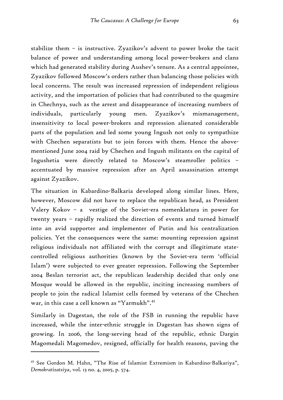stabilize them – is instructive. Zyazikov's advent to power broke the tacit balance of power and understanding among local power-brokers and clans which had generated stability during Aushev's tenure. As a central appointee, Zyazikov followed Moscow's orders rather than balancing those policies with local concerns. The result was increased repression of independent religious activity, and the importation of policies that had contributed to the quagmire in Chechnya, such as the arrest and disappearance of increasing numbers of individuals, particularly young men. Zyazikov's mismanagement, insensitivity to local power-brokers and repression alienated considerable parts of the population and led some young Ingush not only to sympathize with Chechen separatists but to join forces with them. Hence the abovementioned June 2004 raid by Chechen and Ingush militants on the capital of Ingushetia were directly related to Moscow's steamroller politics – accentuated by massive repression after an April assassination attempt against Zyazikov.

The situation in Kabardino-Balkaria developed along similar lines. Here, however, Moscow did not have to replace the republican head, as President Valery Kokov – a vestige of the Soviet-era nomenklatura in power for twenty years – rapidly realized the direction of events and turned himself into an avid supporter and implementer of Putin and his centralization policies. Yet the consequences were the same: mounting repression against religious individuals not affiliated with the corrupt and illegitimate statecontrolled religious authorities (known by the Soviet-era term 'official Islam') were subjected to ever greater repression. Following the September 2004 Beslan terrorist act, the republican leadership decided that only one Mosque would be allowed in the republic, inciting increasing numbers of people to join the radical Islamist cells formed by veterans of the Chechen war, in this case a cell known as "Yarmukh".45

Similarly in Dagestan, the role of the FSB in running the republic have increased, while the inter-ethnic struggle in Dagestan has shown signs of growing. In 2006, the long-serving head of the republic, ethnic Dargin Magomedali Magomedov, resigned, officially for health reasons, paving the

<sup>45</sup> See Gordon M. Hahn, "The Rise of Islamist Extremism in Kabardino-Balkariya", *Demokratizatsiya*, vol. 13 no. 4, 2005, p. 574.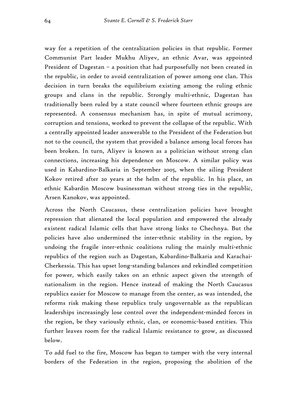way for a repetition of the centralization policies in that republic. Former Communist Part leader Mukhu Aliyev, an ethnic Avar, was appointed President of Dagestan – a position that had purposefully not been created in the republic, in order to avoid centralization of power among one clan. This decision in turn breaks the equilibrium existing among the ruling ethnic groups and clans in the republic. Strongly multi-ethnic, Dagestan has traditionally been ruled by a state council where fourteen ethnic groups are represented. A consensus mechanism has, in spite of mutual acrimony, corruption and tensions, worked to prevent the collapse of the republic. With a centrally appointed leader answerable to the President of the Federation but not to the council, the system that provided a balance among local forces has been broken. In turn, Aliyev is known as a politician without strong clan connections, increasing his dependence on Moscow. A similar policy was used in Kabardino-Balkaria in September 2005, when the ailing President Kokov retired after 20 years at the helm of the republic. In his place, an ethnic Kabardin Moscow businessman without strong ties in the republic, Arsen Kanokov, was appointed.

Across the North Caucasus, these centralization policies have brought repression that alienated the local population and empowered the already existent radical Islamic cells that have strong links to Chechnya. But the policies have also undermined the inter-ethnic stability in the region, by undoing the fragile inter-ethnic coalitions ruling the mainly multi-ethnic republics of the region such as Dagestan, Kabardino-Balkaria and Karachai-Cherkessia. This has upset long-standing balances and rekindled competition for power, which easily takes on an ethnic aspect given the strength of nationalism in the region. Hence instead of making the North Caucasus republics easier for Moscow to manage from the center, as was intended, the reforms risk making these republics truly ungovernable as the republican leaderships increasingly lose control over the independent-minded forces in the region, be they variously ethnic, clan, or economic-based entities. This further leaves room for the radical Islamic resistance to grow, as discussed below.

To add fuel to the fire, Moscow has began to tamper with the very internal borders of the Federation in the region, proposing the abolition of the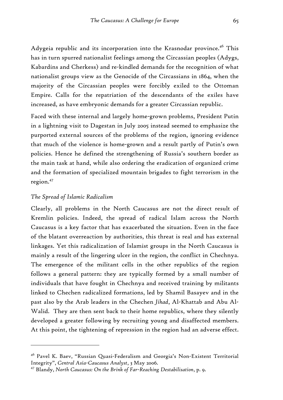Adygeia republic and its incorporation into the Krasnodar province.<sup>46</sup> This has in turn spurred nationalist feelings among the Circassian peoples (Adygs, Kabardins and Cherkess) and re-kindled demands for the recognition of what nationalist groups view as the Genocide of the Circassians in 1864, when the majority of the Circassian peoples were forcibly exiled to the Ottoman Empire. Calls for the repatriation of the descendants of the exiles have increased, as have embryonic demands for a greater Circassian republic.

Faced with these internal and largely home-grown problems, President Putin in a lightning visit to Dagestan in July 2005 instead seemed to emphasize the purported external sources of the problems of the region, ignoring evidence that much of the violence is home-grown and a result partly of Putin's own policies. Hence he defined the strengthening of Russia's southern border as the main task at hand, while also ordering the eradication of organized crime and the formation of specialized mountain brigades to fight terrorism in the region.47

#### *The Spread of Islamic Radicalism*

 $\overline{a}$ 

Clearly, all problems in the North Caucasus are not the direct result of Kremlin policies. Indeed, the spread of radical Islam across the North Caucasus is a key factor that has exacerbated the situation. Even in the face of the blatant overreaction by authorities, this threat is real and has external linkages. Yet this radicalization of Islamist groups in the North Caucasus is mainly a result of the lingering ulcer in the region, the conflict in Chechnya. The emergence of the militant cells in the other republics of the region follows a general pattern: they are typically formed by a small number of individuals that have fought in Chechnya and received training by militants linked to Chechen radicalized formations, led by Shamil Basayev and in the past also by the Arab leaders in the Chechen *Jihad*, Al-Khattab and Abu Al-Walid. They are then sent back to their home republics, where they silently developed a greater following by recruiting young and disaffected members. At this point, the tightening of repression in the region had an adverse effect.

<sup>46</sup> Pavel K. Baev, "Russian Quasi-Federalism and Georgia's Non-Existent Territorial Integrity", *Central Asia-Caucasus Analyst*, 3 May 2006.

<sup>47</sup> Blandy, *North Caucasus: On the Brink of Far-Reaching Destabilisation*, p. 9.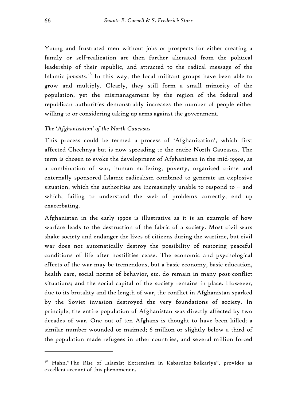Young and frustrated men without jobs or prospects for either creating a family or self-realization are then further alienated from the political leadership of their republic, and attracted to the radical message of the Islamic *jamaats*. 48 In this way, the local militant groups have been able to grow and multiply. Clearly, they still form a small minority of the population, yet the mismanagement by the region of the federal and republican authorities demonstrably increases the number of people either willing to or considering taking up arms against the government.

# *The 'Afghanization' of the North Caucasus*

This process could be termed a process of 'Afghanization', which first affected Chechnya but is now spreading to the entire North Caucasus. The term is chosen to evoke the development of Afghanistan in the mid-1990s, as a combination of war, human suffering, poverty, organized crime and externally sponsored Islamic radicalism combined to generate an explosive situation, which the authorities are increasingly unable to respond to – and which, failing to understand the web of problems correctly, end up exacerbating.

Afghanistan in the early 1990s is illustrative as it is an example of how warfare leads to the destruction of the fabric of a society. Most civil wars shake society and endanger the lives of citizens during the wartime, but civil war does not automatically destroy the possibility of restoring peaceful conditions of life after hostilities cease. The economic and psychological effects of the war may be tremendous, but a basic economy, basic education, health care, social norms of behavior, etc. do remain in many post-conflict situations; and the social capital of the society remains in place. However, due to its brutality and the length of war, the conflict in Afghanistan sparked by the Soviet invasion destroyed the very foundations of society. In principle, the entire population of Afghanistan was directly affected by two decades of war. One out of ten Afghans is thought to have been killed; a similar number wounded or maimed; 6 million or slightly below a third of the population made refugees in other countries, and several million forced

<sup>48</sup> Hahn,"The Rise of Islamist Extremism in Kabardino-Balkariya", provides as excellent account of this phenomenon.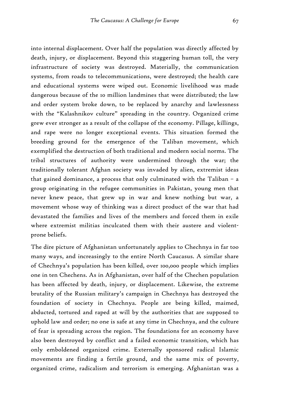into internal displacement. Over half the population was directly affected by death, injury, or displacement. Beyond this staggering human toll, the very infrastructure of society was destroyed. Materially, the communication systems, from roads to telecommunications, were destroyed; the health care and educational systems were wiped out. Economic livelihood was made dangerous because of the 10 million landmines that were distributed; the law and order system broke down, to be replaced by anarchy and lawlessness with the "Kalashnikov culture" spreading in the country. Organized crime grew ever stronger as a result of the collapse of the economy. Pillage, killings, and rape were no longer exceptional events. This situation formed the breeding ground for the emergence of the Taliban movement, which exemplified the destruction of both traditional and modern social norms. The tribal structures of authority were undermined through the war; the traditionally tolerant Afghan society was invaded by alien, extremist ideas that gained dominance, a process that only culminated with the Taliban – a group originating in the refugee communities in Pakistan, young men that never knew peace, that grew up in war and knew nothing but war, a movement whose way of thinking was a direct product of the war that had devastated the families and lives of the members and forced them in exile where extremist militias inculcated them with their austere and violentprone beliefs.

The dire picture of Afghanistan unfortunately applies to Chechnya in far too many ways, and increasingly to the entire North Caucasus. A similar share of Chechnya's population has been killed, over 100,000 people which implies one in ten Chechens. As in Afghanistan, over half of the Chechen population has been affected by death, injury, or displacement. Likewise, the extreme brutality of the Russian military's campaign in Chechnya has destroyed the foundation of society in Chechnya. People are being killed, maimed, abducted, tortured and raped at will by the authorities that are supposed to uphold law and order; no one is safe at any time in Chechnya, and the culture of fear is spreading across the region. The foundations for an economy have also been destroyed by conflict and a failed economic transition, which has only emboldened organized crime. Externally sponsored radical Islamic movements are finding a fertile ground, and the same mix of poverty, organized crime, radicalism and terrorism is emerging. Afghanistan was a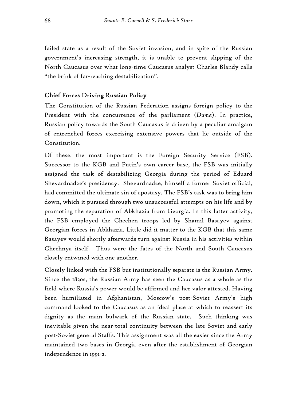failed state as a result of the Soviet invasion, and in spite of the Russian government's increasing strength, it is unable to prevent slipping of the North Caucasus over what long-time Caucasus analyst Charles Blandy calls "the brink of far-reaching destabilization".

# Chief Forces Driving Russian Policy

The Constitution of the Russian Federation assigns foreign policy to the President with the concurrence of the parliament (*Duma*). In practice, Russian policy towards the South Caucasus is driven by a peculiar amalgam of entrenched forces exercising extensive powers that lie outside of the Constitution.

Of these, the most important is the Foreign Security Service (FSB). Successor to the KGB and Putin's own career base, the FSB was initially assigned the task of destabilizing Georgia during the period of Eduard Shevardnadze's presidency. Shevardnadze, himself a former Soviet official, had committed the ultimate sin of apostasy. The FSB's task was to bring him down, which it pursued through two unsuccessful attempts on his life and by promoting the separation of Abkhazia from Georgia. In this latter activity, the FSB employed the Chechen troops led by Shamil Basayev against Georgian forces in Abkhazia. Little did it matter to the KGB that this same Basayev would shortly afterwards turn against Russia in his activities within Chechnya itself. Thus were the fates of the North and South Caucasus closely entwined with one another.

Closely linked with the FSB but institutionally separate is the Russian Army. Since the 1820s, the Russian Army has seen the Caucasus as a whole as the field where Russia's power would be affirmed and her valor attested. Having been humiliated in Afghanistan, Moscow's post-Soviet Army's high command looked to the Caucasus as an ideal place at which to reassert its dignity as the main bulwark of the Russian state. Such thinking was inevitable given the near-total continuity between the late Soviet and early post-Soviet general Staffs. This assignment was all the easier since the Army maintained two bases in Georgia even after the establishment of Georgian independence in 1991-2.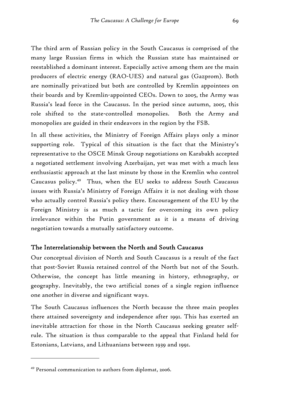The third arm of Russian policy in the South Caucasus is comprised of the many large Russian firms in which the Russian state has maintained or reestablished a dominant interest. Especially active among them are the main producers of electric energy (RAO-UES) and natural gas (Gazprom). Both are nominally privatized but both are controlled by Kremlin appointees on their boards and by Kremlin-appointed CEOs. Down to 2005, the Army was Russia's lead force in the Caucasus. In the period since autumn, 2005, this role shifted to the state-controlled monopolies. Both the Army and monopolies are guided in their endeavors in the region by the FSB.

In all these activities, the Ministry of Foreign Affairs plays only a minor supporting role. Typical of this situation is the fact that the Ministry's representative to the OSCE Minsk Group negotiations on Karabakh accepted a negotiated settlement involving Azerbaijan, yet was met with a much less enthusiastic approach at the last minute by those in the Kremlin who control Caucasus policy.49 Thus, when the EU seeks to address South Caucasus issues with Russia's Ministry of Foreign Affairs it is not dealing with those who actually control Russia's policy there. Encouragement of the EU by the Foreign Ministry is as much a tactic for overcoming its own policy irrelevance within the Putin government as it is a means of driving negotiation towards a mutually satisfactory outcome.

# The Interrelationship between the North and South Caucasus

Our conceptual division of North and South Caucasus is a result of the fact that post-Soviet Russia retained control of the North but not of the South. Otherwise, the concept has little meaning in history, ethnography, or geography. Inevitably, the two artificial zones of a single region influence one another in diverse and significant ways.

The South Caucasus influences the North because the three main peoples there attained sovereignty and independence after 1991. This has exerted an inevitable attraction for those in the North Caucasus seeking greater selfrule. The situation is thus comparable to the appeal that Finland held for Estonians, Latvians, and Lithuanians between 1939 and 1991.

<sup>49</sup> Personal communication to authors from diplomat, 2006.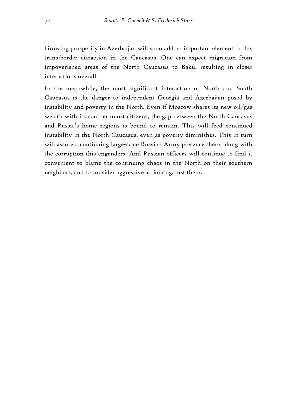Growing prosperity in Azerbaijan will soon add an important element to this trans-border attraction in the Caucasus. One can expect migration from impoverished areas of the North Caucasus to Baku, resulting in closer interactions overall.

In the meanwhile, the most significant interaction of North and South Caucasus is the danger to independent Georgia and Azerbaijan posed by instability and poverty in the North. Even if Moscow shares its new oil/gas wealth with its southernmost citizens, the gap between the North Caucasus and Russia's home regions is bound to remain. This will feed continued instability in the North Caucasus, even as poverty diminishes. This in turn will assure a continuing large-scale Russian Army presence there, along with the corruption this engenders. And Russian officers will continue to find it convenient to blame the continuing chaos in the North on their southern neighbors, and to consider aggressive actions against them.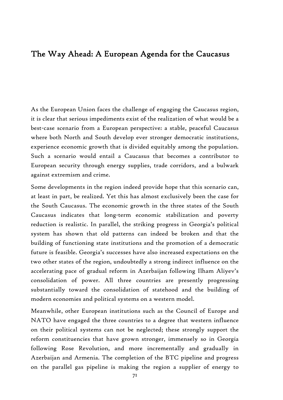# The Way Ahead: A European Agenda for the Caucasus

As the European Union faces the challenge of engaging the Caucasus region, it is clear that serious impediments exist of the realization of what would be a best-case scenario from a European perspective: a stable, peaceful Caucasus where both North and South develop ever stronger democratic institutions, experience economic growth that is divided equitably among the population. Such a scenario would entail a Caucasus that becomes a contributor to European security through energy supplies, trade corridors, and a bulwark against extremism and crime.

Some developments in the region indeed provide hope that this scenario can, at least in part, be realized. Yet this has almost exclusively been the case for the South Caucasus. The economic growth in the three states of the South Caucasus indicates that long-term economic stabilization and poverty reduction is realistic. In parallel, the striking progress in Georgia's political system has shown that old patterns can indeed be broken and that the building of functioning state institutions and the promotion of a democratic future is feasible. Georgia's successes have also increased expectations on the two other states of the region, undoubtedly a strong indirect influence on the accelerating pace of gradual reform in Azerbaijan following Ilham Aliyev's consolidation of power. All three countries are presently progressing substantially toward the consolidation of statehood and the building of modern economies and political systems on a western model.

Meanwhile, other European institutions such as the Council of Europe and NATO have engaged the three countries to a degree that western influence on their political systems can not be neglected; these strongly support the reform constituencies that have grown stronger, immensely so in Georgia following Rose Revolution, and more incrementally and gradually in Azerbaijan and Armenia. The completion of the BTC pipeline and progress on the parallel gas pipeline is making the region a supplier of energy to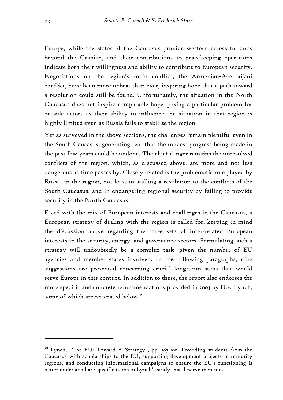Europe, while the states of the Caucasus provide western access to lands beyond the Caspian, and their contributions to peacekeeping operations indicate both their willingness and ability to contribute to European security. Negotiations on the region's main conflict, the Armenian-Azerbaijani conflict, have been more upbeat than ever, inspiring hope that a path toward a resolution could still be found. Unfortunately, the situation in the North Caucasus does not inspire comparable hope, posing a particular problem for outside actors as their ability to influence the situation in that region is highly limited even as Russia fails to stabilize the region.

Yet as surveyed in the above sections, the challenges remain plentiful even in the South Caucasus, generating fear that the modest progress being made in the past few years could be undone. The chief danger remains the unresolved conflicts of the region, which, as discussed above, are more and not less dangerous as time passes by. Closely related is the problematic role played by Russia in the region, not least in stalling a resolution to the conflicts of the South Caucasus; and in endangering regional security by failing to provide security in the North Caucasus.

Faced with the mix of European interests and challenges in the Caucasus, a European strategy of dealing with the region is called for, keeping in mind the discussion above regarding the three sets of inter-related European interests in the security, energy, and governance sectors. Formulating such a strategy will undoubtedly be a complex task, given the number of EU agencies and member states involved. In the following paragraphs, nine suggestions are presented concerning crucial long-term steps that would serve Europe in this context. In addition to these, the report also endorses the more specific and concrete recommendations provided in 2003 by Dov Lynch, some of which are reiterated below.<sup>50</sup>

<sup>&</sup>lt;sup>50</sup> Lynch, "The EU: Toward A Strategy", pp. 187-190. Providing students from the Caucasus with scholarships to the EU, supporting development projects in minority regions, and conducting informational campaigns to ensure the EU's functioning is better understood are specific items in Lynch's study that deserve mention.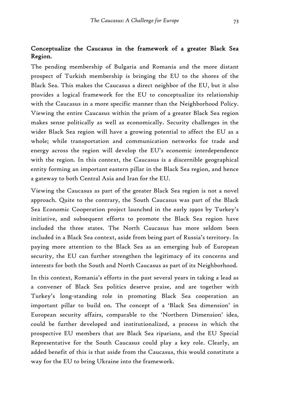### Conceptualize the Caucasus in the framework of a greater Black Sea Region.

The pending membership of Bulgaria and Romania and the more distant prospect of Turkish membership is bringing the EU to the shores of the Black Sea. This makes the Caucasus a direct neighbor of the EU, but it also provides a logical framework for the EU to conceptualize its relationship with the Caucasus in a more specific manner than the Neighborhood Policy. Viewing the entire Caucasus within the prism of a greater Black Sea region makes sense politically as well as economically. Security challenges in the wider Black Sea region will have a growing potential to affect the EU as a whole; while transportation and communication networks for trade and energy across the region will develop the EU's economic interdependence with the region. In this context, the Caucasus is a discernible geographical entity forming an important eastern pillar in the Black Sea region, and hence a gateway to both Central Asia and Iran for the EU.

Viewing the Caucasus as part of the greater Black Sea region is not a novel approach. Quite to the contrary, the South Caucasus was part of the Black Sea Economic Cooperation project launched in the early 1990s by Turkey's initiative, and subsequent efforts to promote the Black Sea region have included the three states. The North Caucasus has more seldom been included in a Black Sea context, aside from being part of Russia's territory. In paying more attention to the Black Sea as an emerging hub of European security, the EU can further strengthen the legitimacy of its concerns and interests for both the South and North Caucasus as part of its Neighborhood.

In this context, Romania's efforts in the past several years in taking a lead as a convener of Black Sea politics deserve praise, and are together with Turkey's long-standing role in promoting Black Sea cooperation an important pillar to build on. The concept of a 'Black Sea dimension' in European security affairs, comparable to the 'Northern Dimension' idea, could be further developed and institutionalized, a process in which the prospective EU members that are Black Sea riparians, and the EU Special Representative for the South Caucasus could play a key role. Clearly, an added benefit of this is that aside from the Caucasus, this would constitute a way for the EU to bring Ukraine into the framework.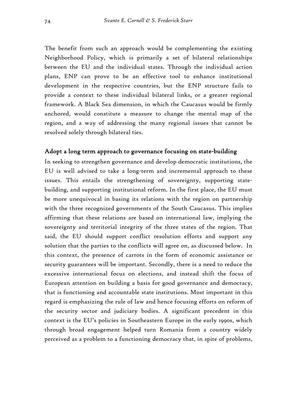The benefit from such an approach would be complementing the existing Neighborhood Policy, which is primarily a set of bilateral relationships between the EU and the individual states. Through the individual action plans, ENP can prove to be an effective tool to enhance institutional development in the respective countries, but the ENP structure fails to provide a context to these individual bilateral links, or a greater regional framework. A Black Sea dimension, in which the Caucasus would be firmly anchored, would constitute a measure to change the mental map of the region, and a way of addressing the many regional issues that cannot be resolved solely through bilateral ties.

#### Adopt a long term approach to governance focusing on state-building

In seeking to strengthen governance and develop democratic institutions, the EU is well advised to take a long-term and incremental approach to these issues. This entails the strengthening of sovereignty, supporting statebuilding, and supporting institutional reform. In the first place, the EU must be more unequivocal in basing its relations with the region on partnership with the three recognized governments of the South Caucasus. This implies affirming that these relations are based on international law, implying the sovereignty and territorial integrity of the three states of the region. That said, the EU should support conflict resolution efforts and support any solution that the parties to the conflicts will agree on, as discussed below. In this context, the presence of carrots in the form of economic assistance or security guarantees will be important. Secondly, there is a need to reduce the excessive international focus on elections, and instead shift the focus of European attention on building a basis for good governance and democracy, that is functioning and accountable state institutions. Most important in this regard is emphasizing the rule of law and hence focusing efforts on reform of the security sector and judiciary bodies. A significant precedent in this context is the EU's policies in Southeastern Europe in the early 1990s, which through broad engagement helped turn Romania from a country widely perceived as a problem to a functioning democracy that, in spite of problems,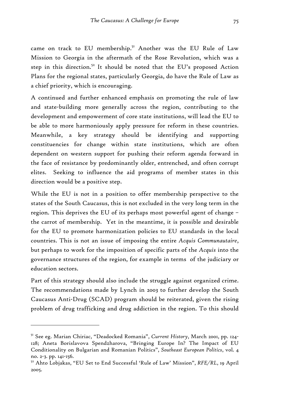came on track to EU membership.<sup>51</sup> Another was the EU Rule of Law Mission to Georgia in the aftermath of the Rose Revolution, which was a step in this direction.<sup>52</sup> It should be noted that the EU's proposed Action Plans for the regional states, particularly Georgia, do have the Rule of Law as a chief priority, which is encouraging.

A continued and further enhanced emphasis on promoting the rule of law and state-building more generally across the region, contributing to the development and empowerment of core state institutions, will lead the EU to be able to more harmoniously apply pressure for reform in these countries. Meanwhile, a key strategy should be identifying and supporting constituencies for change within state institutions, which are often dependent on western support for pushing their reform agenda forward in the face of resistance by predominantly older, entrenched, and often corrupt elites. Seeking to influence the aid programs of member states in this direction would be a positive step.

While the EU is not in a position to offer membership perspective to the states of the South Caucasus, this is not excluded in the very long term in the region. This deprives the EU of its perhaps most powerful agent of change – the carrot of membership. Yet in the meantime, it is possible and desirable for the EU to promote harmonization policies to EU standards in the local countries. This is not an issue of imposing the entire *Acquis Communautaire*, but perhaps to work for the imposition of specific parts of the *Acquis* into the governance structures of the region, for example in terms of the judiciary or education sectors.

Part of this strategy should also include the struggle against organized crime. The recommendations made by Lynch in 2003 to further develop the South Caucasus Anti-Drug (SCAD) program should be reiterated, given the rising problem of drug trafficking and drug addiction in the region. To this should

<sup>51</sup> See eg. Marian Chiriac, "Deadocked Romania", *Current History*, March 2001, pp. 124- 128; Aneta Borislavova Spendzharova, "Bringing Europe In? The Impact of EU Conditionality on Bulgarian and Romanian Politics", *Southeast European Politics*, vol. 4 no. 2-3. pp. 141-156.

<sup>52</sup> Ahto Lobjakas, "EU Set to End Successful 'Rule of Law' Mission", *RFE/RL*, 19 April 2005.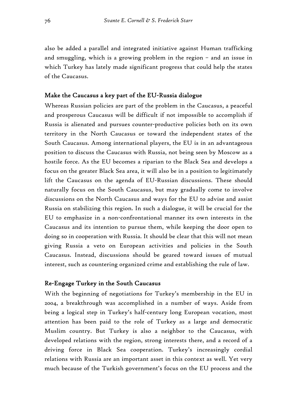also be added a parallel and integrated initiative against Human trafficking and smuggling, which is a growing problem in the region – and an issue in which Turkey has lately made significant progress that could help the states of the Caucasus.

## Make the Caucasus a key part of the EU-Russia dialogue

Whereas Russian policies are part of the problem in the Caucasus, a peaceful and prosperous Caucasus will be difficult if not impossible to accomplish if Russia is alienated and pursues counter-productive policies both on its own territory in the North Caucasus or toward the independent states of the South Caucasus. Among international players, the EU is in an advantageous position to discuss the Caucasus with Russia, not being seen by Moscow as a hostile force. As the EU becomes a riparian to the Black Sea and develops a focus on the greater Black Sea area, it will also be in a position to legitimately lift the Caucasus on the agenda of EU-Russian discussions. These should naturally focus on the South Caucasus, but may gradually come to involve discussions on the North Caucasus and ways for the EU to advise and assist Russia on stabilizing this region. In such a dialogue, it will be crucial for the EU to emphasize in a non-confrontational manner its own interests in the Caucasus and its intention to pursue them, while keeping the door open to doing so in cooperation with Russia. It should be clear that this will not mean giving Russia a veto on European activities and policies in the South Caucasus. Instead, discussions should be geared toward issues of mutual interest, such as countering organized crime and establishing the rule of law.

#### Re-Engage Turkey in the South Caucasus

With the beginning of negotiations for Turkey's membership in the EU in 2004, a breakthrough was accomplished in a number of ways. Aside from being a logical step in Turkey's half-century long European vocation, most attention has been paid to the role of Turkey as a large and democratic Muslim country. But Turkey is also a neighbor to the Caucasus, with developed relations with the region, strong interests there, and a record of a driving force in Black Sea cooperation. Turkey's increasingly cordial relations with Russia are an important asset in this context as well. Yet very much because of the Turkish government's focus on the EU process and the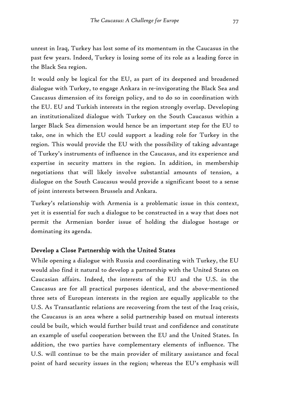unrest in Iraq, Turkey has lost some of its momentum in the Caucasus in the past few years. Indeed, Turkey is losing some of its role as a leading force in the Black Sea region.

It would only be logical for the EU, as part of its deepened and broadened dialogue with Turkey, to engage Ankara in re-invigorating the Black Sea and Caucasus dimension of its foreign policy, and to do so in coordination with the EU. EU and Turkish interests in the region strongly overlap. Developing an institutionalized dialogue with Turkey on the South Caucasus within a larger Black Sea dimension would hence be an important step for the EU to take, one in which the EU could support a leading role for Turkey in the region. This would provide the EU with the possibility of taking advantage of Turkey's instruments of influence in the Caucasus, and its experience and expertise in security matters in the region. In addition, in membership negotiations that will likely involve substantial amounts of tension, a dialogue on the South Caucasus would provide a significant boost to a sense of joint interests between Brussels and Ankara.

Turkey's relationship with Armenia is a problematic issue in this context, yet it is essential for such a dialogue to be constructed in a way that does not permit the Armenian border issue of holding the dialogue hostage or dominating its agenda.

### Develop a Close Partnership with the United States

While opening a dialogue with Russia and coordinating with Turkey, the EU would also find it natural to develop a partnership with the United States on Caucasian affairs. Indeed, the interests of the EU and the U.S. in the Caucasus are for all practical purposes identical, and the above-mentioned three sets of European interests in the region are equally applicable to the U.S. As Transatlantic relations are recovering from the test of the Iraq crisis, the Caucasus is an area where a solid partnership based on mutual interests could be built, which would further build trust and confidence and constitute an example of useful cooperation between the EU and the United States. In addition, the two parties have complementary elements of influence. The U.S. will continue to be the main provider of military assistance and focal point of hard security issues in the region; whereas the EU's emphasis will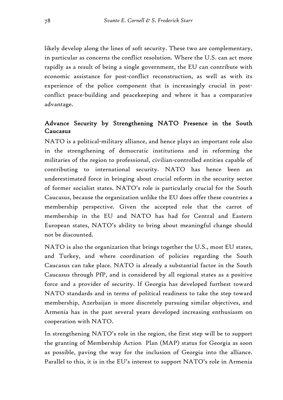likely develop along the lines of soft security. These two are complementary, in particular as concerns the conflict resolution. Where the U.S. can act more rapidly as a result of being a single government, the EU can contribute with economic assistance for post-conflict reconstruction, as well as with its experience of the police component that is increasingly crucial in postconflict peace-building and peacekeeping and where it has a comparative advantage.

## Advance Security by Strengthening NATO Presence in the South Caucasus

NATO is a political-military alliance, and hence plays an important role also in the strengthening of democratic institutions and in reforming the militaries of the region to professional, civilian-controlled entities capable of contributing to international security. NATO has hence been an underestimated force in bringing about crucial reform in the security sector of former socialist states. NATO's role is particularly crucial for the South Caucasus, because the organization unlike the EU does offer these countries a membership perspective. Given the accepted role that the carrot of membership in the EU and NATO has had for Central and Eastern European states, NATO's ability to bring about meaningful change should not be discounted.

NATO is also the organization that brings together the U.S., most EU states, and Turkey, and where coordination of policies regarding the South Caucasus can take place. NATO is already a substantial factor in the South Caucasus through PfP, and is considered by all regional states as a positive force and a provider of security. If Georgia has developed furthest toward NATO standards and in terms of political readiness to take the step toward membership, Azerbaijan is more discretely pursuing similar objectives, and Armenia has in the past several years developed increasing enthusiasm on cooperation with NATO.

In strengthening NATO's role in the region, the first step will be to support the granting of Membership Action Plan (MAP) status for Georgia as soon as possible, paving the way for the inclusion of Georgia into the alliance. Parallel to this, it is in the EU's interest to support NATO's role in Armenia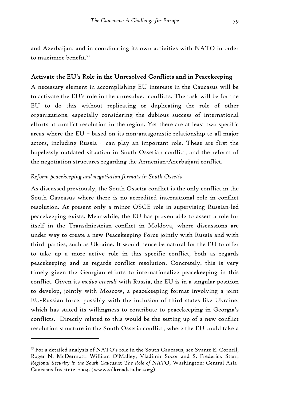and Azerbaijan, and in coordinating its own activities with NATO in order to maximize benefit.53

### Activate the EU's Role in the Unresolved Conflicts and in Peacekeeping

A necessary element in accomplishing EU interests in the Caucasus will be to activate the EU's role in the unresolved conflicts. The task will be for the EU to do this without replicating or duplicating the role of other organizations, especially considering the dubious success of international efforts at conflict resolution in the region. Yet there are at least two specific areas where the EU – based on its non-antagonistic relationship to all major actors, including Russia – can play an important role. These are first the hopelessly outdated situation in South Ossetian conflict, and the reform of the negotiation structures regarding the Armenian-Azerbaijani conflict.

### *Reform peacekeeping and negotiation formats in South Ossetia*

As discussed previously, the South Ossetia conflict is the only conflict in the South Caucasus where there is no accredited international role in conflict resolution. At present only a minor OSCE role in supervising Russian-led peacekeeping exists. Meanwhile, the EU has proven able to assert a role for itself in the Transdniestrian conflict in Moldova, where discussions are under way to create a new Peacekeeping Force jointly with Russia and with third parties, such as Ukraine. It would hence be natural for the EU to offer to take up a more active role in this specific conflict, both as regards peacekeeping and as regards conflict resolution. Concretely, this is very timely given the Georgian efforts to internationalize peacekeeping in this conflict. Given its *modus vivendi* with Russia, the EU is in a singular position to develop, jointly with Moscow, a peacekeeping format involving a joint EU-Russian force, possibly with the inclusion of third states like Ukraine, which has stated its willingness to contribute to peacekeeping in Georgia's conflicts. Directly related to this would be the setting up of a new conflict resolution structure in the South Ossetia conflict, where the EU could take a

<sup>53</sup> For a detailed analysis of NATO's role in the South Caucasus, see Svante E. Cornell, Roger N. McDermott, William O'Malley, Vladimir Socor and S. Frederick Starr, *Regional Security in the South Caucasus: The Role of NATO*, Washington: Central Asia-Caucasus Institute, 2004. (www.silkroadstudies.org)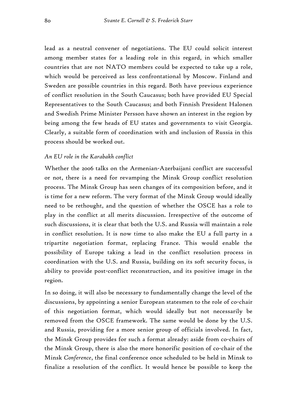lead as a neutral convener of negotiations. The EU could solicit interest among member states for a leading role in this regard, in which smaller countries that are not NATO members could be expected to take up a role, which would be perceived as less confrontational by Moscow. Finland and Sweden are possible countries in this regard. Both have previous experience of conflict resolution in the South Caucasus; both have provided EU Special Representatives to the South Caucasus; and both Finnish President Halonen and Swedish Prime Minister Persson have shown an interest in the region by being among the few heads of EU states and governments to visit Georgia. Clearly, a suitable form of coordination with and inclusion of Russia in this process should be worked out.

#### *An EU role in the Karabakh conflict*

Whether the 2006 talks on the Armenian-Azerbaijani conflict are successful or not, there is a need for revamping the Minsk Group conflict resolution process. The Minsk Group has seen changes of its composition before, and it is time for a new reform. The very format of the Minsk Group would ideally need to be rethought, and the question of whether the OSCE has a role to play in the conflict at all merits discussion. Irrespective of the outcome of such discussions, it is clear that both the U.S. and Russia will maintain a role in conflict resolution. It is now time to also make the EU a full party in a tripartite negotiation format, replacing France. This would enable the possibility of Europe taking a lead in the conflict resolution process in coordination with the U.S. and Russia, building on its soft security focus, is ability to provide post-conflict reconstruction, and its positive image in the region.

In so doing, it will also be necessary to fundamentally change the level of the discussions, by appointing a senior European statesmen to the role of co-chair of this negotiation format, which would ideally but not necessarily be removed from the OSCE framework. The same would be done by the U.S. and Russia, providing for a more senior group of officials involved. In fact, the Minsk Group provides for such a format already: aside from co-chairs of the Minsk Group, there is also the more honorific position of co-chair of the Minsk *Conference*, the final conference once scheduled to be held in Minsk to finalize a resolution of the conflict. It would hence be possible to keep the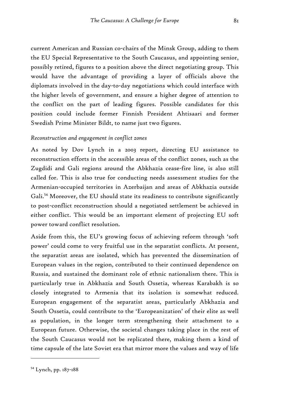current American and Russian co-chairs of the Minsk Group, adding to them the EU Special Representative to the South Caucasus, and appointing senior, possibly retired, figures to a position above the direct negotiating group. This would have the advantage of providing a layer of officials above the diplomats involved in the day-to-day negotiations which could interface with the higher levels of government, and ensure a higher degree of attention to the conflict on the part of leading figures. Possible candidates for this position could include former Finnish President Ahtisaari and former Swedish Prime Minister Bildt, to name just two figures.

### *Reconstruction and engagement in conflict zones*

As noted by Dov Lynch in a 2003 report, directing EU assistance to reconstruction efforts in the accessible areas of the conflict zones, such as the Zugdidi and Gali regions around the Abkhazia cease-fire line, is also still called for. This is also true for conducting needs assessment studies for the Armenian-occupied territories in Azerbaijan and areas of Abkhazia outside Gali.54 Moreover, the EU should state its readiness to contribute significantly to post-conflict reconstruction should a negotiated settlement be achieved in either conflict. This would be an important element of projecting EU soft power toward conflict resolution.

Aside from this, the EU's growing focus of achieving reform through 'soft power' could come to very fruitful use in the separatist conflicts. At present, the separatist areas are isolated, which has prevented the dissemination of European values in the region, contributed to their continued dependence on Russia, and sustained the dominant role of ethnic nationalism there. This is particularly true in Abkhazia and South Ossetia, whereas Karabakh is so closely integrated to Armenia that its isolation is somewhat reduced. European engagement of the separatist areas, particularly Abkhazia and South Ossetia, could contribute to the 'Europeanization' of their elite as well as population, in the longer term strengthening their attachment to a European future. Otherwise, the societal changes taking place in the rest of the South Caucasus would not be replicated there, making them a kind of time capsule of the late Soviet era that mirror more the values and way of life

<sup>54</sup> Lynch, pp. 187-188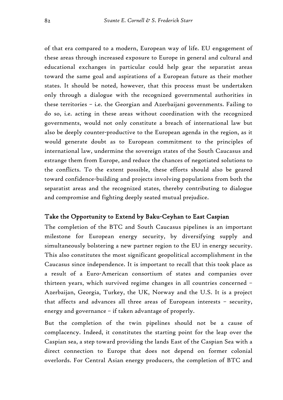of that era compared to a modern, European way of life. EU engagement of these areas through increased exposure to Europe in general and cultural and educational exchanges in particular could help gear the separatist areas toward the same goal and aspirations of a European future as their mother states. It should be noted, however, that this process must be undertaken only through a dialogue with the recognized governmental authorities in these territories – i.e. the Georgian and Azerbaijani governments. Failing to do so, i.e. acting in these areas without coordination with the recognized governments, would not only constitute a breach of international law but also be deeply counter-productive to the European agenda in the region, as it would generate doubt as to European commitment to the principles of international law, undermine the sovereign states of the South Caucasus and estrange them from Europe, and reduce the chances of negotiated solutions to the conflicts. To the extent possible, these efforts should also be geared toward confidence-building and projects involving populations from both the separatist areas and the recognized states, thereby contributing to dialogue and compromise and fighting deeply seated mutual prejudice.

#### Take the Opportunity to Extend by Baku-Ceyhan to East Caspian

The completion of the BTC and South Caucasus pipelines is an important milestone for European energy security, by diversifying supply and simultaneously bolstering a new partner region to the EU in energy security. This also constitutes the most significant geopolitical accomplishment in the Caucasus since independence. It is important to recall that this took place as a result of a Euro-American consortium of states and companies over thirteen years, which survived regime changes in all countries concerned – Azerbaijan, Georgia, Turkey, the UK, Norway and the U.S. It is a project that affects and advances all three areas of European interests – security, energy and governance – if taken advantage of properly.

But the completion of the twin pipelines should not be a cause of complacency. Indeed, it constitutes the starting point for the leap over the Caspian sea, a step toward providing the lands East of the Caspian Sea with a direct connection to Europe that does not depend on former colonial overlords. For Central Asian energy producers, the completion of BTC and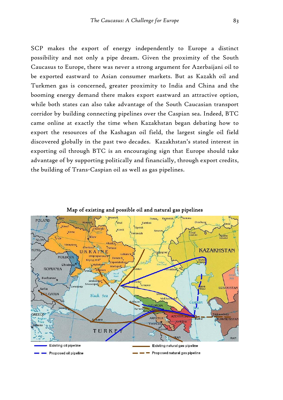SCP makes the export of energy independently to Europe a distinct possibility and not only a pipe dream. Given the proximity of the South Caucasus to Europe, there was never a strong argument for Azerbaijani oil to be exported eastward to Asian consumer markets. But as Kazakh oil and Turkmen gas is concerned, greater proximity to India and China and the booming energy demand there makes export eastward an attractive option, while both states can also take advantage of the South Caucasian transport corridor by building connecting pipelines over the Caspian sea. Indeed, BTC came online at exactly the time when Kazakhstan began debating how to export the resources of the Kashagan oil field, the largest single oil field discovered globally in the past two decades. Kazakhstan's stated interest in exporting oil through BTC is an encouraging sign that Europe should take advantage of by supporting politically and financially, through export credits, the building of Trans-Caspian oil as well as gas pipelines.



Map of existing and possible oil and natural gas pipelines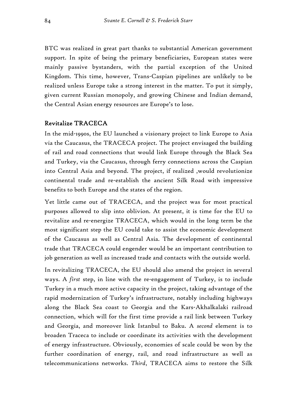BTC was realized in great part thanks to substantial American government support. In spite of being the primary beneficiaries, European states were mainly passive bystanders, with the partial exception of the United Kingdom. This time, however, Trans-Caspian pipelines are unlikely to be realized unless Europe take a strong interest in the matter. To put it simply, given current Russian monopoly, and growing Chinese and Indian demand, the Central Asian energy resources are Europe's to lose.

### Revitalize TRACECA

In the mid-1990s, the EU launched a visionary project to link Europe to Asia via the Caucasus, the TRACECA project. The project envisaged the building of rail and road connections that would link Europe through the Black Sea and Turkey, via the Caucasus, through ferry connections across the Caspian into Central Asia and beyond. The project, if realized ,would revolutionize continental trade and re-establish the ancient Silk Road with impressive benefits to both Europe and the states of the region.

Yet little came out of TRACECA, and the project was for most practical purposes allowed to slip into oblivion. At present, it is time for the EU to revitalize and re-energize TRACECA, which would in the long term be the most significant step the EU could take to assist the economic development of the Caucasus as well as Central Asia. The development of continental trade that TRACECA could engender would be an important contribution to job generation as well as increased trade and contacts with the outside world.

In revitalizing TRACECA, the EU should also amend the project in several ways. A *first* step, in line with the re-engagement of Turkey, is to include Turkey in a much more active capacity in the project, taking advantage of the rapid modernization of Turkey's infrastructure, notably including highways along the Black Sea coast to Georgia and the Kars-Akhalkalaki railroad connection, which will for the first time provide a rail link between Turkey and Georgia, and moreover link Istanbul to Baku. A *second* element is to broaden Traceca to include or coordinate its activities with the development of energy infrastructure. Obviously, economies of scale could be won by the further coordination of energy, rail, and road infrastructure as well as telecommunications networks. *Third*, TRACECA aims to restore the Silk